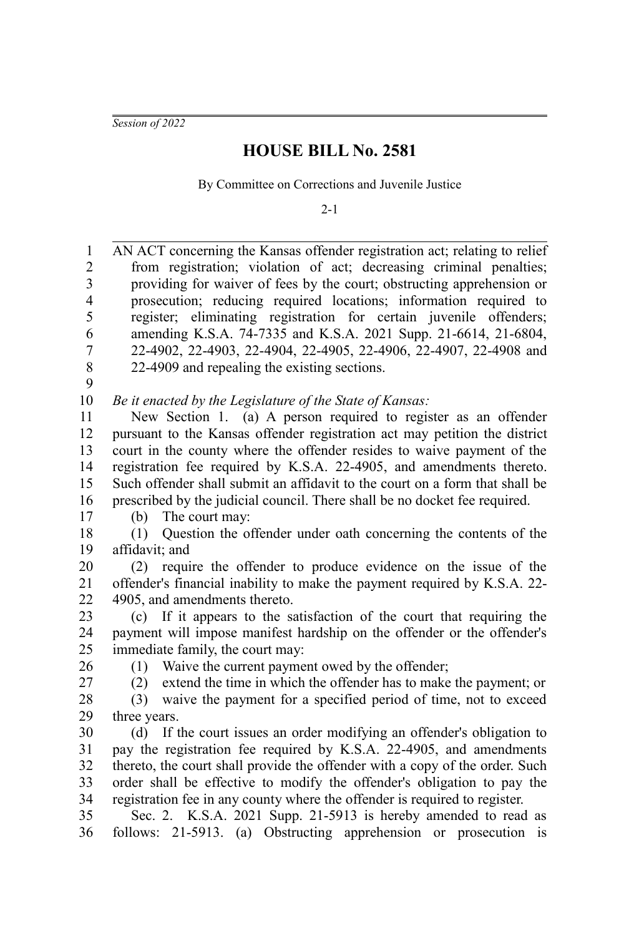*Session of 2022*

## **HOUSE BILL No. 2581**

By Committee on Corrections and Juvenile Justice

 $2 - 1$ 

AN ACT concerning the Kansas offender registration act; relating to relief from registration; violation of act; decreasing criminal penalties; providing for waiver of fees by the court; obstructing apprehension or prosecution; reducing required locations; information required to register; eliminating registration for certain juvenile offenders; amending K.S.A. 74-7335 and K.S.A. 2021 Supp. 21-6614, 21-6804, 22-4902, 22-4903, 22-4904, 22-4905, 22-4906, 22-4907, 22-4908 and 22-4909 and repealing the existing sections. *Be it enacted by the Legislature of the State of Kansas:* New Section 1. (a) A person required to register as an offender pursuant to the Kansas offender registration act may petition the district court in the county where the offender resides to waive payment of the registration fee required by K.S.A. 22-4905, and amendments thereto. Such offender shall submit an affidavit to the court on a form that shall be prescribed by the judicial council. There shall be no docket fee required. (b) The court may: (1) Question the offender under oath concerning the contents of the affidavit; and (2) require the offender to produce evidence on the issue of the offender's financial inability to make the payment required by K.S.A. 22- 4905, and amendments thereto. (c) If it appears to the satisfaction of the court that requiring the payment will impose manifest hardship on the offender or the offender's immediate family, the court may: (1) Waive the current payment owed by the offender; (2) extend the time in which the offender has to make the payment; or (3) waive the payment for a specified period of time, not to exceed three years. (d) If the court issues an order modifying an offender's obligation to pay the registration fee required by K.S.A. 22-4905, and amendments thereto, the court shall provide the offender with a copy of the order. Such order shall be effective to modify the offender's obligation to pay the registration fee in any county where the offender is required to register. Sec. 2. K.S.A. 2021 Supp. 21-5913 is hereby amended to read as follows: 21-5913. (a) Obstructing apprehension or prosecution is 1 2 3 4 5 6 7 8 9 10 11 12 13 14 15 16 17 18 19 20 21 22 23 24 25 26 27 28 29 30 31 32 33 34 35 36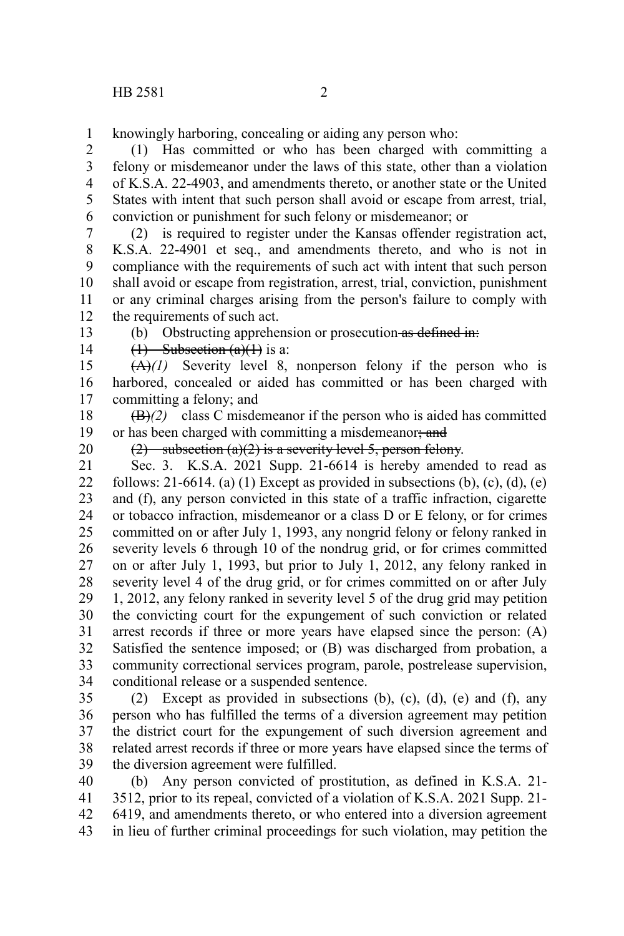knowingly harboring, concealing or aiding any person who: 1

(1) Has committed or who has been charged with committing a felony or misdemeanor under the laws of this state, other than a violation of K.S.A. 22-4903, and amendments thereto, or another state or the United States with intent that such person shall avoid or escape from arrest, trial, conviction or punishment for such felony or misdemeanor; or 2 3 4 5 6

(2) is required to register under the Kansas offender registration act, K.S.A. 22-4901 et seq., and amendments thereto, and who is not in compliance with the requirements of such act with intent that such person shall avoid or escape from registration, arrest, trial, conviction, punishment or any criminal charges arising from the person's failure to comply with the requirements of such act. 7 8 9 10 11 12

13

(b) Obstructing apprehension or prosecution as defined in:

14

 $(1)$  Subsection  $(a)(1)$  is a:

 $(A)(1)$  Severity level 8, nonperson felony if the person who is harbored, concealed or aided has committed or has been charged with committing a felony; and 15 16 17

(B)*(2)* class C misdemeanor if the person who is aided has committed or has been charged with committing a misdemeanor; and 18 19

20

(2) subsection (a)(2) is a severity level 5, person felony.

Sec. 3. K.S.A. 2021 Supp. 21-6614 is hereby amended to read as follows: 21-6614. (a) (1) Except as provided in subsections (b), (c), (d), (e) and (f), any person convicted in this state of a traffic infraction, cigarette or tobacco infraction, misdemeanor or a class D or E felony, or for crimes committed on or after July 1, 1993, any nongrid felony or felony ranked in severity levels 6 through 10 of the nondrug grid, or for crimes committed on or after July 1, 1993, but prior to July 1, 2012, any felony ranked in severity level 4 of the drug grid, or for crimes committed on or after July 1, 2012, any felony ranked in severity level 5 of the drug grid may petition the convicting court for the expungement of such conviction or related arrest records if three or more years have elapsed since the person: (A) Satisfied the sentence imposed; or (B) was discharged from probation, a community correctional services program, parole, postrelease supervision, conditional release or a suspended sentence. 21 22 23 24 25 26 27 28 29 30 31 32 33 34

(2) Except as provided in subsections (b), (c), (d), (e) and (f), any person who has fulfilled the terms of a diversion agreement may petition the district court for the expungement of such diversion agreement and related arrest records if three or more years have elapsed since the terms of the diversion agreement were fulfilled. 35 36 37 38 39

(b) Any person convicted of prostitution, as defined in K.S.A. 21- 3512, prior to its repeal, convicted of a violation of K.S.A. 2021 Supp. 21- 6419, and amendments thereto, or who entered into a diversion agreement in lieu of further criminal proceedings for such violation, may petition the 40 41 42 43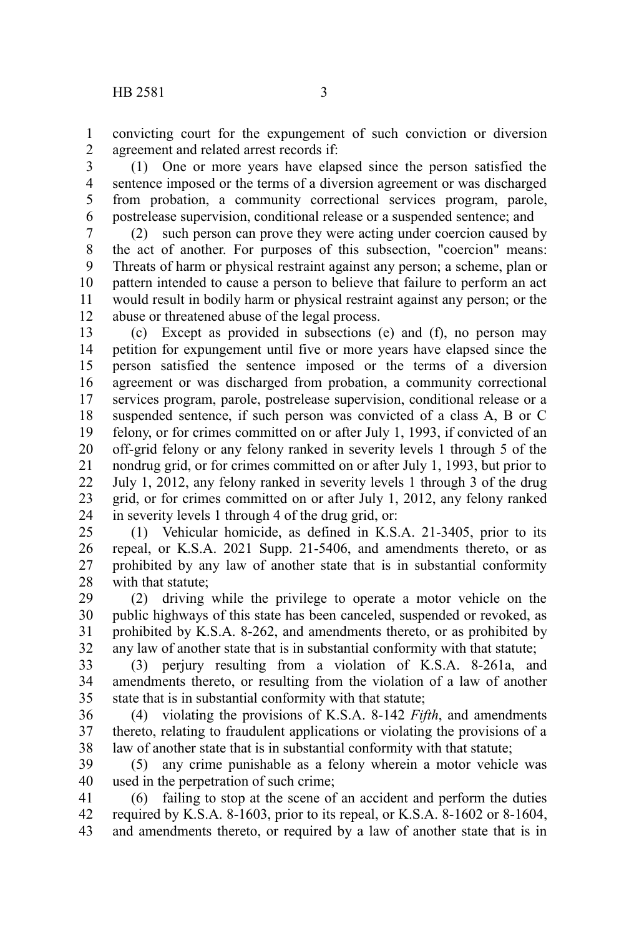convicting court for the expungement of such conviction or diversion agreement and related arrest records if: 1 2

(1) One or more years have elapsed since the person satisfied the sentence imposed or the terms of a diversion agreement or was discharged from probation, a community correctional services program, parole, postrelease supervision, conditional release or a suspended sentence; and 3 4 5 6

(2) such person can prove they were acting under coercion caused by the act of another. For purposes of this subsection, "coercion" means: Threats of harm or physical restraint against any person; a scheme, plan or pattern intended to cause a person to believe that failure to perform an act would result in bodily harm or physical restraint against any person; or the abuse or threatened abuse of the legal process. 7 8 9 10 11 12

(c) Except as provided in subsections (e) and (f), no person may petition for expungement until five or more years have elapsed since the person satisfied the sentence imposed or the terms of a diversion agreement or was discharged from probation, a community correctional services program, parole, postrelease supervision, conditional release or a suspended sentence, if such person was convicted of a class A, B or C felony, or for crimes committed on or after July 1, 1993, if convicted of an off-grid felony or any felony ranked in severity levels 1 through 5 of the nondrug grid, or for crimes committed on or after July 1, 1993, but prior to July 1, 2012, any felony ranked in severity levels 1 through 3 of the drug grid, or for crimes committed on or after July 1, 2012, any felony ranked in severity levels 1 through 4 of the drug grid, or: 13 14 15 16 17 18 19 20 21 22 23 24

(1) Vehicular homicide, as defined in K.S.A. 21-3405, prior to its repeal, or K.S.A. 2021 Supp. 21-5406, and amendments thereto, or as prohibited by any law of another state that is in substantial conformity with that statute; 25 26 27 28

(2) driving while the privilege to operate a motor vehicle on the public highways of this state has been canceled, suspended or revoked, as prohibited by K.S.A. 8-262, and amendments thereto, or as prohibited by any law of another state that is in substantial conformity with that statute; 29 30 31 32

(3) perjury resulting from a violation of K.S.A. 8-261a, and amendments thereto, or resulting from the violation of a law of another state that is in substantial conformity with that statute; 33 34 35

(4) violating the provisions of K.S.A. 8-142 *Fifth*, and amendments thereto, relating to fraudulent applications or violating the provisions of a law of another state that is in substantial conformity with that statute; 36 37 38

(5) any crime punishable as a felony wherein a motor vehicle was used in the perpetration of such crime; 39 40

(6) failing to stop at the scene of an accident and perform the duties required by K.S.A. 8-1603, prior to its repeal, or K.S.A. 8-1602 or 8-1604, and amendments thereto, or required by a law of another state that is in 41 42 43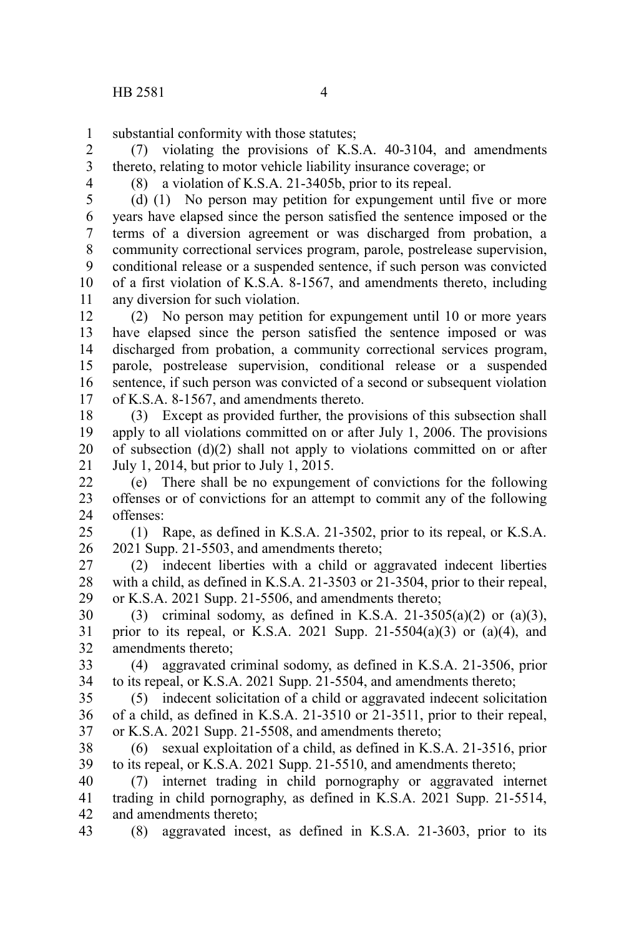substantial conformity with those statutes; 1

(7) violating the provisions of K.S.A. 40-3104, and amendments thereto, relating to motor vehicle liability insurance coverage; or 2 3

4

(8) a violation of K.S.A. 21-3405b, prior to its repeal.

(d) (1) No person may petition for expungement until five or more years have elapsed since the person satisfied the sentence imposed or the terms of a diversion agreement or was discharged from probation, a community correctional services program, parole, postrelease supervision, conditional release or a suspended sentence, if such person was convicted of a first violation of K.S.A. 8-1567, and amendments thereto, including any diversion for such violation. 5 6 7 8 9 10 11

(2) No person may petition for expungement until 10 or more years have elapsed since the person satisfied the sentence imposed or was discharged from probation, a community correctional services program, parole, postrelease supervision, conditional release or a suspended sentence, if such person was convicted of a second or subsequent violation of K.S.A. 8-1567, and amendments thereto. 12 13 14 15 16 17

(3) Except as provided further, the provisions of this subsection shall apply to all violations committed on or after July 1, 2006. The provisions of subsection (d)(2) shall not apply to violations committed on or after July 1, 2014, but prior to July 1, 2015. 18 19 20 21

(e) There shall be no expungement of convictions for the following offenses or of convictions for an attempt to commit any of the following offenses: 22 23 24

(1) Rape, as defined in K.S.A. 21-3502, prior to its repeal, or K.S.A. 2021 Supp. 21-5503, and amendments thereto; 25 26

(2) indecent liberties with a child or aggravated indecent liberties with a child, as defined in K.S.A. 21-3503 or 21-3504, prior to their repeal, or K.S.A. 2021 Supp. 21-5506, and amendments thereto; 27 28 29

(3) criminal sodomy, as defined in K.S.A. 21-3505(a)(2) or (a)(3), prior to its repeal, or K.S.A. 2021 Supp. 21-5504(a)(3) or (a)(4), and amendments thereto; 30 31 32

(4) aggravated criminal sodomy, as defined in K.S.A. 21-3506, prior to its repeal, or K.S.A. 2021 Supp. 21-5504, and amendments thereto; 33 34

(5) indecent solicitation of a child or aggravated indecent solicitation of a child, as defined in K.S.A. 21-3510 or 21-3511, prior to their repeal, or K.S.A. 2021 Supp. 21-5508, and amendments thereto; 35 36 37

(6) sexual exploitation of a child, as defined in K.S.A. 21-3516, prior to its repeal, or K.S.A. 2021 Supp. 21-5510, and amendments thereto; 38 39

(7) internet trading in child pornography or aggravated internet trading in child pornography, as defined in K.S.A. 2021 Supp. 21-5514, and amendments thereto; 40 41 42

(8) aggravated incest, as defined in K.S.A. 21-3603, prior to its 43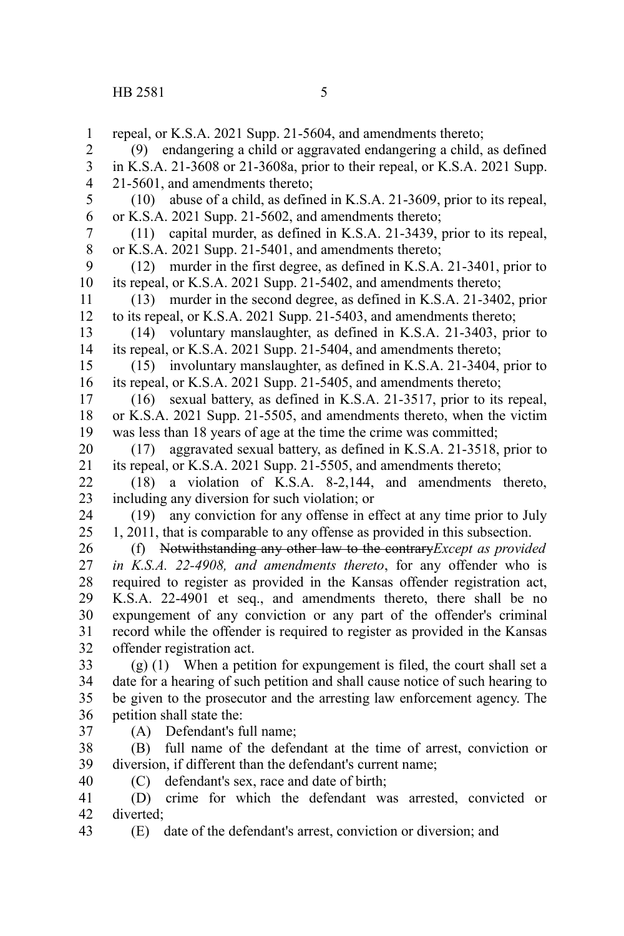repeal, or K.S.A. 2021 Supp. 21-5604, and amendments thereto; (9) endangering a child or aggravated endangering a child, as defined in K.S.A. 21-3608 or 21-3608a, prior to their repeal, or K.S.A. 2021 Supp. 21-5601, and amendments thereto; (10) abuse of a child, as defined in K.S.A. 21-3609, prior to its repeal, or K.S.A. 2021 Supp. 21-5602, and amendments thereto; (11) capital murder, as defined in K.S.A. 21-3439, prior to its repeal, or K.S.A. 2021 Supp. 21-5401, and amendments thereto; (12) murder in the first degree, as defined in K.S.A. 21-3401, prior to its repeal, or K.S.A. 2021 Supp. 21-5402, and amendments thereto; (13) murder in the second degree, as defined in K.S.A. 21-3402, prior to its repeal, or K.S.A. 2021 Supp. 21-5403, and amendments thereto; (14) voluntary manslaughter, as defined in K.S.A. 21-3403, prior to its repeal, or K.S.A. 2021 Supp. 21-5404, and amendments thereto; (15) involuntary manslaughter, as defined in K.S.A. 21-3404, prior to its repeal, or K.S.A. 2021 Supp. 21-5405, and amendments thereto; (16) sexual battery, as defined in K.S.A. 21-3517, prior to its repeal, or K.S.A. 2021 Supp. 21-5505, and amendments thereto, when the victim was less than 18 years of age at the time the crime was committed; (17) aggravated sexual battery, as defined in K.S.A. 21-3518, prior to its repeal, or K.S.A. 2021 Supp. 21-5505, and amendments thereto; (18) a violation of K.S.A. 8-2,144, and amendments thereto, including any diversion for such violation; or (19) any conviction for any offense in effect at any time prior to July 1, 2011, that is comparable to any offense as provided in this subsection. (f) Notwithstanding any other law to the contrary*Except as provided in K.S.A. 22-4908, and amendments thereto*, for any offender who is required to register as provided in the Kansas offender registration act, K.S.A. 22-4901 et seq., and amendments thereto, there shall be no expungement of any conviction or any part of the offender's criminal record while the offender is required to register as provided in the Kansas offender registration act. (g) (1) When a petition for expungement is filed, the court shall set a date for a hearing of such petition and shall cause notice of such hearing to be given to the prosecutor and the arresting law enforcement agency. The petition shall state the: (A) Defendant's full name; (B) full name of the defendant at the time of arrest, conviction or diversion, if different than the defendant's current name; (C) defendant's sex, race and date of birth; (D) crime for which the defendant was arrested, convicted or diverted; 1 2 3 4 5 6 7 8 9 10 11 12 13 14 15 16 17 18 19 20 21 22 23 24 25 26 27 28 29 30 31 32 33 34 35 36 37 38 39 40 41 42

(E) date of the defendant's arrest, conviction or diversion; and 43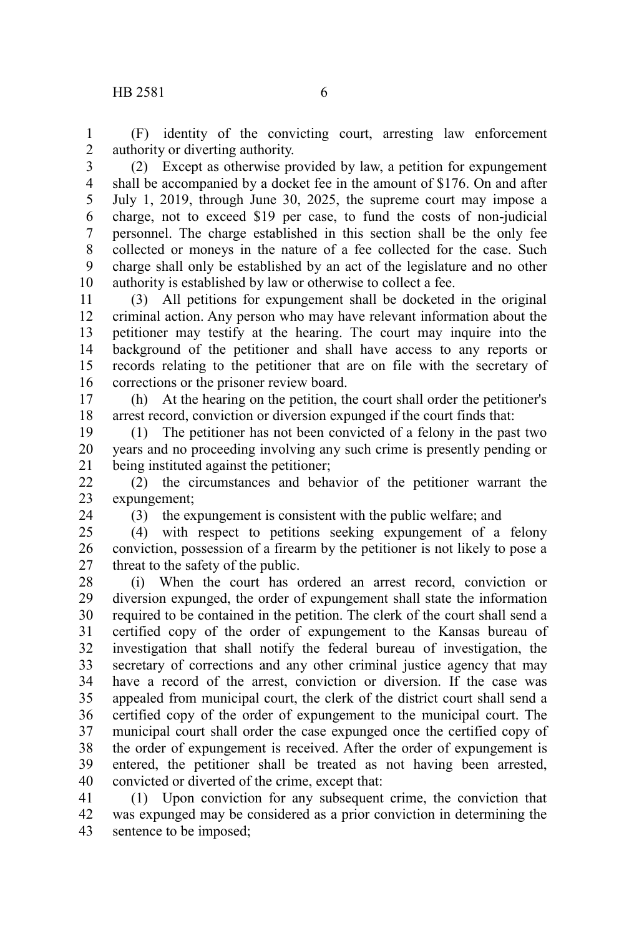(F) identity of the convicting court, arresting law enforcement authority or diverting authority. 1 2

(2) Except as otherwise provided by law, a petition for expungement shall be accompanied by a docket fee in the amount of \$176. On and after July 1, 2019, through June 30, 2025, the supreme court may impose a charge, not to exceed \$19 per case, to fund the costs of non-judicial personnel. The charge established in this section shall be the only fee collected or moneys in the nature of a fee collected for the case. Such charge shall only be established by an act of the legislature and no other authority is established by law or otherwise to collect a fee. 3 4 5 6 7 8 9 10

(3) All petitions for expungement shall be docketed in the original criminal action. Any person who may have relevant information about the petitioner may testify at the hearing. The court may inquire into the background of the petitioner and shall have access to any reports or records relating to the petitioner that are on file with the secretary of corrections or the prisoner review board. 11 12 13 14 15 16

(h) At the hearing on the petition, the court shall order the petitioner's arrest record, conviction or diversion expunged if the court finds that: 17 18

(1) The petitioner has not been convicted of a felony in the past two years and no proceeding involving any such crime is presently pending or being instituted against the petitioner; 19 20 21

(2) the circumstances and behavior of the petitioner warrant the expungement; 22 23

24

(3) the expungement is consistent with the public welfare; and

(4) with respect to petitions seeking expungement of a felony conviction, possession of a firearm by the petitioner is not likely to pose a threat to the safety of the public.  $25$ 26 27

(i) When the court has ordered an arrest record, conviction or diversion expunged, the order of expungement shall state the information required to be contained in the petition. The clerk of the court shall send a certified copy of the order of expungement to the Kansas bureau of investigation that shall notify the federal bureau of investigation, the secretary of corrections and any other criminal justice agency that may have a record of the arrest, conviction or diversion. If the case was appealed from municipal court, the clerk of the district court shall send a certified copy of the order of expungement to the municipal court. The municipal court shall order the case expunged once the certified copy of the order of expungement is received. After the order of expungement is entered, the petitioner shall be treated as not having been arrested, convicted or diverted of the crime, except that: 28 29 30 31 32 33 34 35 36 37 38 39 40

(1) Upon conviction for any subsequent crime, the conviction that was expunged may be considered as a prior conviction in determining the sentence to be imposed; 41 42 43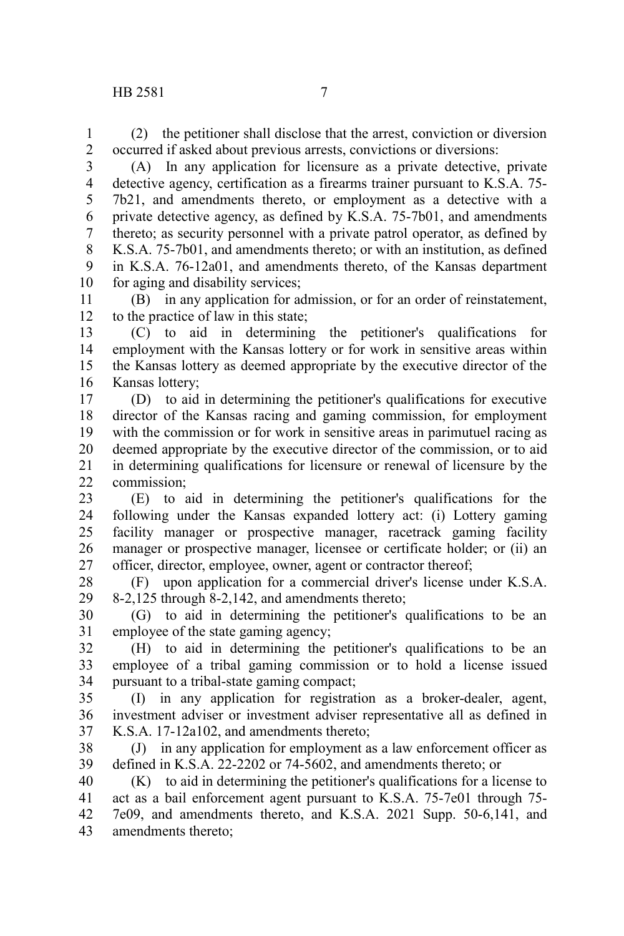(2) the petitioner shall disclose that the arrest, conviction or diversion occurred if asked about previous arrests, convictions or diversions: 1 2

(A) In any application for licensure as a private detective, private detective agency, certification as a firearms trainer pursuant to K.S.A. 75- 7b21, and amendments thereto, or employment as a detective with a private detective agency, as defined by K.S.A. 75-7b01, and amendments thereto; as security personnel with a private patrol operator, as defined by K.S.A. 75-7b01, and amendments thereto; or with an institution, as defined in K.S.A. 76-12a01, and amendments thereto, of the Kansas department for aging and disability services; 3 4 5 6 7 8 9 10

(B) in any application for admission, or for an order of reinstatement, to the practice of law in this state; 11 12

(C) to aid in determining the petitioner's qualifications for employment with the Kansas lottery or for work in sensitive areas within the Kansas lottery as deemed appropriate by the executive director of the Kansas lottery; 13 14 15 16

(D) to aid in determining the petitioner's qualifications for executive director of the Kansas racing and gaming commission, for employment with the commission or for work in sensitive areas in parimutuel racing as deemed appropriate by the executive director of the commission, or to aid in determining qualifications for licensure or renewal of licensure by the commission; 17 18 19 20 21 22

(E) to aid in determining the petitioner's qualifications for the following under the Kansas expanded lottery act: (i) Lottery gaming facility manager or prospective manager, racetrack gaming facility manager or prospective manager, licensee or certificate holder; or (ii) an officer, director, employee, owner, agent or contractor thereof; 23 24 25 26 27

(F) upon application for a commercial driver's license under K.S.A. 8-2,125 through 8-2,142, and amendments thereto; 28 29

(G) to aid in determining the petitioner's qualifications to be an employee of the state gaming agency; 30 31

(H) to aid in determining the petitioner's qualifications to be an employee of a tribal gaming commission or to hold a license issued pursuant to a tribal-state gaming compact; 32 33 34

(I) in any application for registration as a broker-dealer, agent, investment adviser or investment adviser representative all as defined in K.S.A. 17-12a102, and amendments thereto; 35 36 37

(J) in any application for employment as a law enforcement officer as defined in K.S.A. 22-2202 or 74-5602, and amendments thereto; or 38 39

(K) to aid in determining the petitioner's qualifications for a license to act as a bail enforcement agent pursuant to K.S.A. 75-7e01 through 75- 7e09, and amendments thereto, and K.S.A. 2021 Supp. 50-6,141, and amendments thereto; 40 41 42 43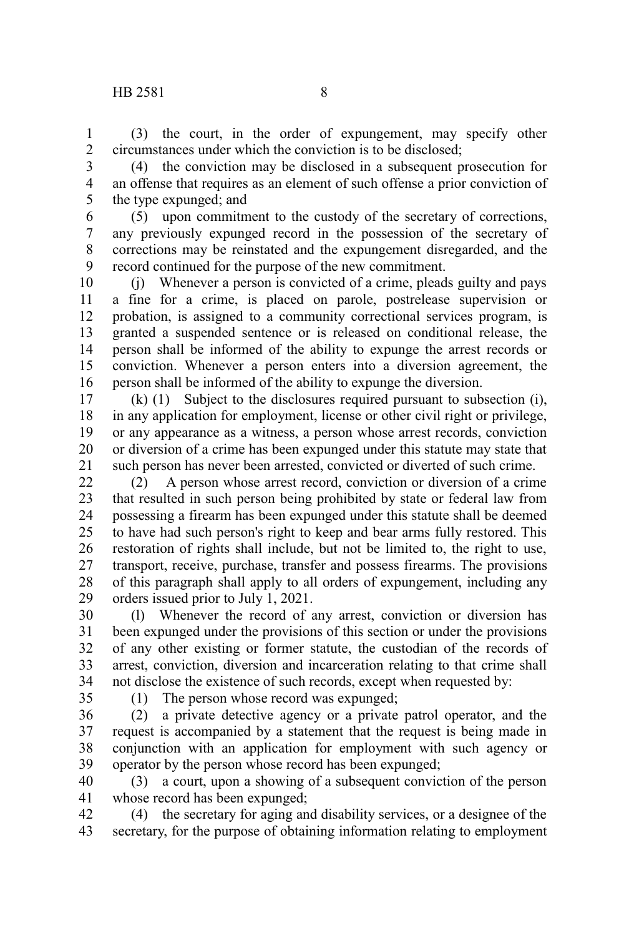(3) the court, in the order of expungement, may specify other circumstances under which the conviction is to be disclosed; 1 2

(4) the conviction may be disclosed in a subsequent prosecution for an offense that requires as an element of such offense a prior conviction of the type expunged; and 3 4 5

(5) upon commitment to the custody of the secretary of corrections, any previously expunged record in the possession of the secretary of corrections may be reinstated and the expungement disregarded, and the record continued for the purpose of the new commitment. 6 7 8 9

(j) Whenever a person is convicted of a crime, pleads guilty and pays a fine for a crime, is placed on parole, postrelease supervision or probation, is assigned to a community correctional services program, is granted a suspended sentence or is released on conditional release, the person shall be informed of the ability to expunge the arrest records or conviction. Whenever a person enters into a diversion agreement, the person shall be informed of the ability to expunge the diversion. 10 11 12 13 14 15 16

(k) (1) Subject to the disclosures required pursuant to subsection (i), in any application for employment, license or other civil right or privilege, or any appearance as a witness, a person whose arrest records, conviction or diversion of a crime has been expunged under this statute may state that such person has never been arrested, convicted or diverted of such crime. 17 18 19 20 21

(2) A person whose arrest record, conviction or diversion of a crime that resulted in such person being prohibited by state or federal law from possessing a firearm has been expunged under this statute shall be deemed to have had such person's right to keep and bear arms fully restored. This restoration of rights shall include, but not be limited to, the right to use, transport, receive, purchase, transfer and possess firearms. The provisions of this paragraph shall apply to all orders of expungement, including any orders issued prior to July 1, 2021. 22 23 24 25 26 27 28 29

(l) Whenever the record of any arrest, conviction or diversion has been expunged under the provisions of this section or under the provisions of any other existing or former statute, the custodian of the records of arrest, conviction, diversion and incarceration relating to that crime shall not disclose the existence of such records, except when requested by: 30 31 32 33 34

35

(1) The person whose record was expunged;

(2) a private detective agency or a private patrol operator, and the request is accompanied by a statement that the request is being made in conjunction with an application for employment with such agency or operator by the person whose record has been expunged; 36 37 38 39

(3) a court, upon a showing of a subsequent conviction of the person whose record has been expunged; 40 41

(4) the secretary for aging and disability services, or a designee of the secretary, for the purpose of obtaining information relating to employment 42 43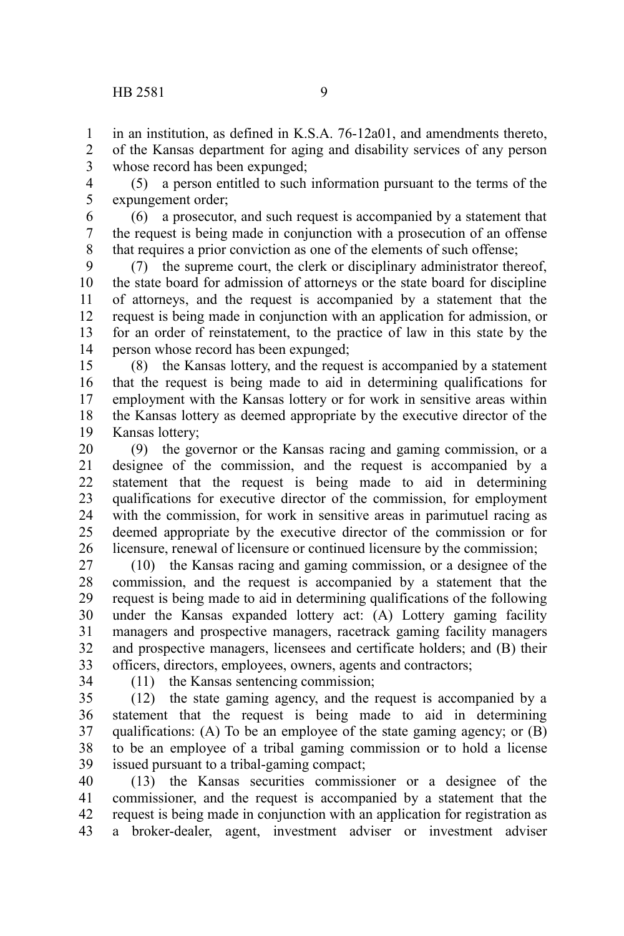in an institution, as defined in K.S.A. 76-12a01, and amendments thereto, of the Kansas department for aging and disability services of any person 1 2

whose record has been expunged; 3

(5) a person entitled to such information pursuant to the terms of the expungement order; 4 5

(6) a prosecutor, and such request is accompanied by a statement that the request is being made in conjunction with a prosecution of an offense that requires a prior conviction as one of the elements of such offense; 6 7 8

(7) the supreme court, the clerk or disciplinary administrator thereof, the state board for admission of attorneys or the state board for discipline of attorneys, and the request is accompanied by a statement that the request is being made in conjunction with an application for admission, or for an order of reinstatement, to the practice of law in this state by the person whose record has been expunged; 9 10 11 12 13 14

(8) the Kansas lottery, and the request is accompanied by a statement that the request is being made to aid in determining qualifications for employment with the Kansas lottery or for work in sensitive areas within the Kansas lottery as deemed appropriate by the executive director of the Kansas lottery; 15 16 17 18 19

(9) the governor or the Kansas racing and gaming commission, or a designee of the commission, and the request is accompanied by a statement that the request is being made to aid in determining qualifications for executive director of the commission, for employment with the commission, for work in sensitive areas in parimutuel racing as deemed appropriate by the executive director of the commission or for licensure, renewal of licensure or continued licensure by the commission; 20 21 22 23 24 25 26

(10) the Kansas racing and gaming commission, or a designee of the commission, and the request is accompanied by a statement that the request is being made to aid in determining qualifications of the following under the Kansas expanded lottery act: (A) Lottery gaming facility managers and prospective managers, racetrack gaming facility managers and prospective managers, licensees and certificate holders; and (B) their officers, directors, employees, owners, agents and contractors; 27 28 29 30 31 32 33

34

(11) the Kansas sentencing commission;

(12) the state gaming agency, and the request is accompanied by a statement that the request is being made to aid in determining qualifications: (A) To be an employee of the state gaming agency; or (B) to be an employee of a tribal gaming commission or to hold a license issued pursuant to a tribal-gaming compact; 35 36 37 38 39

(13) the Kansas securities commissioner or a designee of the commissioner, and the request is accompanied by a statement that the request is being made in conjunction with an application for registration as a broker-dealer, agent, investment adviser or investment adviser 40 41 42 43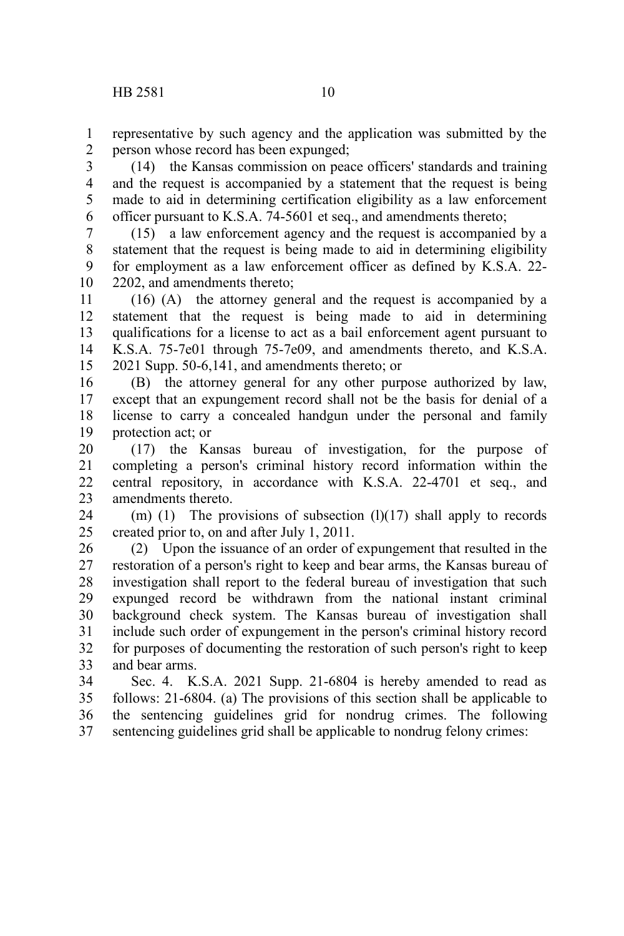representative by such agency and the application was submitted by the person whose record has been expunged; 1 2

(14) the Kansas commission on peace officers' standards and training and the request is accompanied by a statement that the request is being made to aid in determining certification eligibility as a law enforcement officer pursuant to K.S.A. 74-5601 et seq., and amendments thereto; 3 4 5 6

(15) a law enforcement agency and the request is accompanied by a statement that the request is being made to aid in determining eligibility for employment as a law enforcement officer as defined by K.S.A. 22- 2202, and amendments thereto; 7 8 9 10

(16) (A) the attorney general and the request is accompanied by a statement that the request is being made to aid in determining qualifications for a license to act as a bail enforcement agent pursuant to K.S.A. 75-7e01 through 75-7e09, and amendments thereto, and K.S.A. 2021 Supp. 50-6,141, and amendments thereto; or 11 12 13 14 15

(B) the attorney general for any other purpose authorized by law, except that an expungement record shall not be the basis for denial of a license to carry a concealed handgun under the personal and family protection act; or 16 17 18 19

(17) the Kansas bureau of investigation, for the purpose of completing a person's criminal history record information within the central repository, in accordance with K.S.A. 22-4701 et seq., and amendments thereto. 20 21 22 23

(m) (1) The provisions of subsection  $(1)(17)$  shall apply to records created prior to, on and after July 1, 2011. 24 25

(2) Upon the issuance of an order of expungement that resulted in the restoration of a person's right to keep and bear arms, the Kansas bureau of investigation shall report to the federal bureau of investigation that such expunged record be withdrawn from the national instant criminal background check system. The Kansas bureau of investigation shall include such order of expungement in the person's criminal history record for purposes of documenting the restoration of such person's right to keep and bear arms. 26 27 28 29 30 31 32 33

Sec. 4. K.S.A. 2021 Supp. 21-6804 is hereby amended to read as follows: 21-6804. (a) The provisions of this section shall be applicable to the sentencing guidelines grid for nondrug crimes. The following sentencing guidelines grid shall be applicable to nondrug felony crimes: 34 35 36 37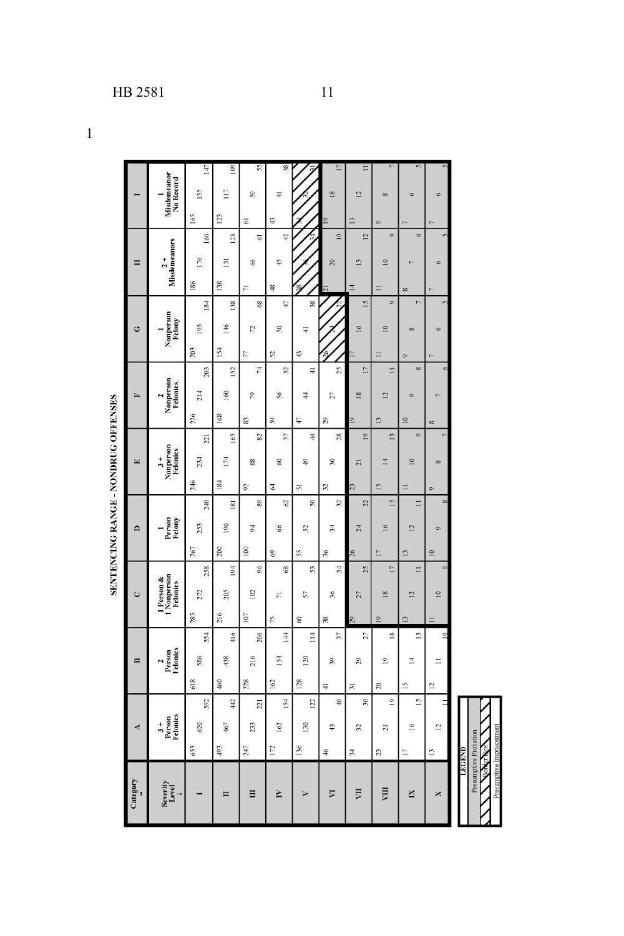1

|                |                                            | 147 | 109              | 55             | $\frac{8}{36}$ |                 | 17                      | $\equiv$        |                 |                 |                 |
|----------------|--------------------------------------------|-----|------------------|----------------|----------------|-----------------|-------------------------|-----------------|-----------------|-----------------|-----------------|
|                | Misdememor<br>No Record                    | 155 | $\overline{11}$  | S,             | $\exists$      |                 | $\overline{18}$         | $\overline{2}$  | $\infty$        | G               |                 |
|                |                                            | 165 | 123              | 5              | 43             |                 | $\overline{19}$         | $\overline{13}$ | o               |                 |                 |
|                |                                            | 166 | 123              | 5              | å              |                 | $\overline{9}$          | 할               | $\circ$         | Ġ               |                 |
| Ξ              | Misdemeanors<br>$\frac{1}{2}$              | 176 | 131              | 8              | $\ddot{ }$     |                 | 20                      | $\overline{13}$ | $\approx$       |                 |                 |
|                |                                            | 186 | 138              | Е              | ≇              |                 | $\overline{15}$         | $\overline{14}$ | $\equiv$        | ${}^{\circ}$    |                 |
|                |                                            | 184 | 138              | \$             | ę              | $\frac{38}{36}$ |                         | $\frac{5}{2}$   | o.              | ь               |                 |
| Ù              | Nonperson<br>Felony                        | 195 | 146              | Ľ1             | 8              | ₹               |                         | $\frac{6}{2}$   | $\approx$       | $\infty$        |                 |
|                |                                            | 203 | 154              | R              | 25             | Ģ               |                         |                 | $\equiv$        | Ö               |                 |
|                |                                            | 203 | 152              | Ħ              | 25             | ₩               | 25                      | É               | $\equiv$        | $\infty$        |                 |
| E              | Nonperson<br>Felonies                      | 214 | 160              | P,             | 56             | 4               | 27                      | 18              | $\mathbb{R}$    | Ö               |                 |
|                |                                            | 226 | 168              | 83             | $\frac{5}{2}$  | Ģ               | 29                      | $\frac{1}{2}$   | 13              | $\approx$       | $\infty$        |
|                |                                            | 221 | 165              | 82             | 57             | ¥               | 28                      | $\overline{19}$ | $\frac{3}{2}$   | ò               |                 |
| $\overline{E}$ | 3+<br>Nonperson<br>Felonies                | 234 | 174              | 88             | 3              | \$              | z                       | $\overline{z}$  | $\mathbb{E}$    | $\approx$       | $\infty$        |
|                |                                            | 246 | 184              | 55             | 3              | 51              | S)                      | 23              | $\overline{15}$ | $\equiv$        | $\circ$         |
|                |                                            | 240 | $\overline{181}$ | 89             | e,             | $\frac{8}{2}$   | S.                      | 22              | 15              | $\equiv$        |                 |
| $\Box$         | Person<br>Felony                           | 253 | 190              | Z              | $\delta$       | 52              | $\overline{3}$          | 24              | 16              | $\overline{12}$ |                 |
|                |                                            | 267 | $200\,$          | $^{100}$       | \$             | 55              | X,                      | 26              | $\Box$          | $\overline{13}$ | $\approx$       |
|                |                                            | 258 | 194              | 6 <sup>6</sup> | 68             | $\overline{5}$  | $\frac{4}{5}$           | 25              | $\overline{17}$ | $\Box$          |                 |
| U              | 1 Person &<br>1 Nonperson<br>Felonies      | 272 | 205              | 102            | $\overline{r}$ | 57              | $\frac{8}{36}$          | 27              | $\frac{8}{2}$   | $\overline{12}$ | $\approx$       |
|                |                                            | 285 | 216              | $107\,$        | P,             | $\otimes$       | æ                       | 29              | $\overline{9}$  | $\mathbf{r}$    |                 |
|                |                                            | 554 | 416              | 206            | 144            | $\overline{11}$ | $\overline{\mathbf{3}}$ | 27              | $\frac{8}{2}$   | 13              |                 |
| $\mathbf{r}$   | Person<br>Felonies<br>$\ddot{\phantom{1}}$ | 586 | 438              | 216            | 154            | 120             | $\mathfrak{F}$          | $^{29}$         | $\frac{0}{1}$   | $\overline{1}$  |                 |
|                |                                            | 618 | 460              | 228            | 162            | 128             | ₹                       | $\overline{m}$  | $\approx$       | $\overline{15}$ | 핰               |
|                |                                            | 592 | 442              | 221            | 154            | 122             | $\overline{a}$          | $\approx$       | $\overline{a}$  | $\overline{15}$ |                 |
| 4              | $3 +$<br>Person<br>Felonies                | 620 | $467$            | 233            | 162            | 130             | Ģ                       | 32              | $\overline{z}$  | $\geq$          | $\overline{12}$ |
|                |                                            | 653 | 493              | 247            | 172            | 136             | $\frac{1}{2}$           | $\frac{4}{3}$   | $\mathbf{z}$    | Ē               | $\overline{a}$  |
|                |                                            |     |                  |                |                |                 |                         |                 |                 |                 |                 |
| Category       | Severity<br>Level<br>+                     |     | Ħ                | 目              | Ĕ              | ⋗               | ঢ়                      | Ę               | Щ               | N               | ×               |
|                |                                            |     |                  |                |                |                 |                         |                 |                 |                 |                 |

SENTENCING RANGE - NONDRUG OFFENSES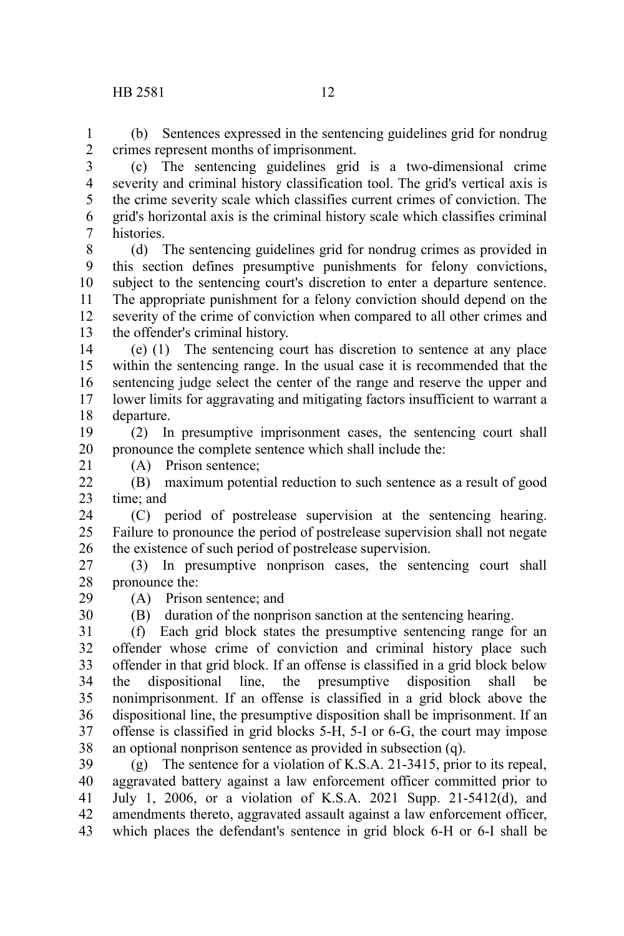(b) Sentences expressed in the sentencing guidelines grid for nondrug crimes represent months of imprisonment. 1 2

(c) The sentencing guidelines grid is a two-dimensional crime severity and criminal history classification tool. The grid's vertical axis is the crime severity scale which classifies current crimes of conviction. The grid's horizontal axis is the criminal history scale which classifies criminal histories. 3 4 5 6 7

(d) The sentencing guidelines grid for nondrug crimes as provided in this section defines presumptive punishments for felony convictions, subject to the sentencing court's discretion to enter a departure sentence. The appropriate punishment for a felony conviction should depend on the severity of the crime of conviction when compared to all other crimes and the offender's criminal history. 8 9 10 11 12 13

(e) (1) The sentencing court has discretion to sentence at any place within the sentencing range. In the usual case it is recommended that the sentencing judge select the center of the range and reserve the upper and lower limits for aggravating and mitigating factors insufficient to warrant a departure. 14 15 16 17 18

(2) In presumptive imprisonment cases, the sentencing court shall pronounce the complete sentence which shall include the: 19 20

21

29 30 (A) Prison sentence;

(B) maximum potential reduction to such sentence as a result of good time; and  $22$ 23

(C) period of postrelease supervision at the sentencing hearing. Failure to pronounce the period of postrelease supervision shall not negate the existence of such period of postrelease supervision. 24 25 26

(3) In presumptive nonprison cases, the sentencing court shall pronounce the: 27 28

(A) Prison sentence; and

(B) duration of the nonprison sanction at the sentencing hearing.

(f) Each grid block states the presumptive sentencing range for an offender whose crime of conviction and criminal history place such offender in that grid block. If an offense is classified in a grid block below the dispositional line, the presumptive disposition shall be nonimprisonment. If an offense is classified in a grid block above the dispositional line, the presumptive disposition shall be imprisonment. If an offense is classified in grid blocks 5-H, 5-I or 6-G, the court may impose an optional nonprison sentence as provided in subsection (q). 31 32 33 34 35 36 37 38

(g) The sentence for a violation of K.S.A. 21-3415, prior to its repeal, aggravated battery against a law enforcement officer committed prior to July 1, 2006, or a violation of K.S.A. 2021 Supp. 21-5412(d), and amendments thereto, aggravated assault against a law enforcement officer, which places the defendant's sentence in grid block 6-H or 6-I shall be 39 40 41 42 43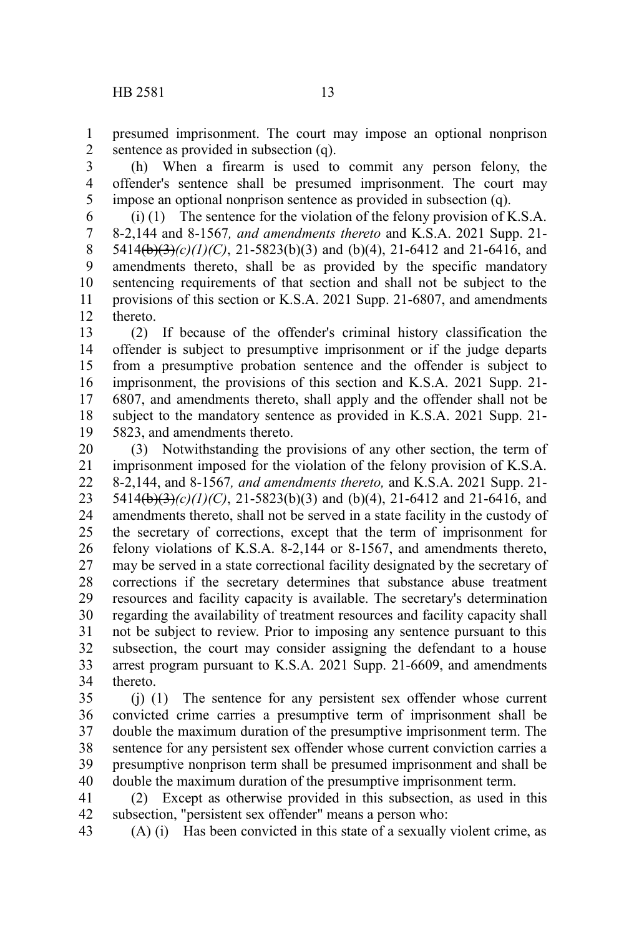presumed imprisonment. The court may impose an optional nonprison sentence as provided in subsection (q). 1 2

(h) When a firearm is used to commit any person felony, the offender's sentence shall be presumed imprisonment. The court may impose an optional nonprison sentence as provided in subsection (q). 3 4 5

(i) (1) The sentence for the violation of the felony provision of K.S.A. 8-2,144 and 8-1567*, and amendments thereto* and K.S.A. 2021 Supp. 21- 5414(b)(3)(c)(1)(C), 21-5823(b)(3) and (b)(4), 21-6412 and 21-6416, and amendments thereto, shall be as provided by the specific mandatory sentencing requirements of that section and shall not be subject to the provisions of this section or K.S.A. 2021 Supp. 21-6807, and amendments thereto. 6 7 8 9 10 11 12

(2) If because of the offender's criminal history classification the offender is subject to presumptive imprisonment or if the judge departs from a presumptive probation sentence and the offender is subject to imprisonment, the provisions of this section and K.S.A. 2021 Supp. 21- 6807, and amendments thereto, shall apply and the offender shall not be subject to the mandatory sentence as provided in K.S.A. 2021 Supp. 21- 5823, and amendments thereto. 13 14 15 16 17 18 19

(3) Notwithstanding the provisions of any other section, the term of imprisonment imposed for the violation of the felony provision of K.S.A. 8-2,144, and 8-1567*, and amendments thereto,* and K.S.A. 2021 Supp. 21- 5414(b)(3)(c)(1)(C), 21-5823(b)(3) and (b)(4), 21-6412 and 21-6416, and amendments thereto, shall not be served in a state facility in the custody of the secretary of corrections, except that the term of imprisonment for felony violations of K.S.A. 8-2,144 or 8-1567, and amendments thereto, may be served in a state correctional facility designated by the secretary of corrections if the secretary determines that substance abuse treatment resources and facility capacity is available. The secretary's determination regarding the availability of treatment resources and facility capacity shall not be subject to review. Prior to imposing any sentence pursuant to this subsection, the court may consider assigning the defendant to a house arrest program pursuant to K.S.A. 2021 Supp. 21-6609, and amendments thereto. 20 21 22 23 24 25 26 27 28 29 30 31 32 33 34

(j) (1) The sentence for any persistent sex offender whose current convicted crime carries a presumptive term of imprisonment shall be double the maximum duration of the presumptive imprisonment term. The sentence for any persistent sex offender whose current conviction carries a presumptive nonprison term shall be presumed imprisonment and shall be double the maximum duration of the presumptive imprisonment term. 35 36 37 38 39 40

(2) Except as otherwise provided in this subsection, as used in this subsection, "persistent sex offender" means a person who: 41 42

(A) (i) Has been convicted in this state of a sexually violent crime, as 43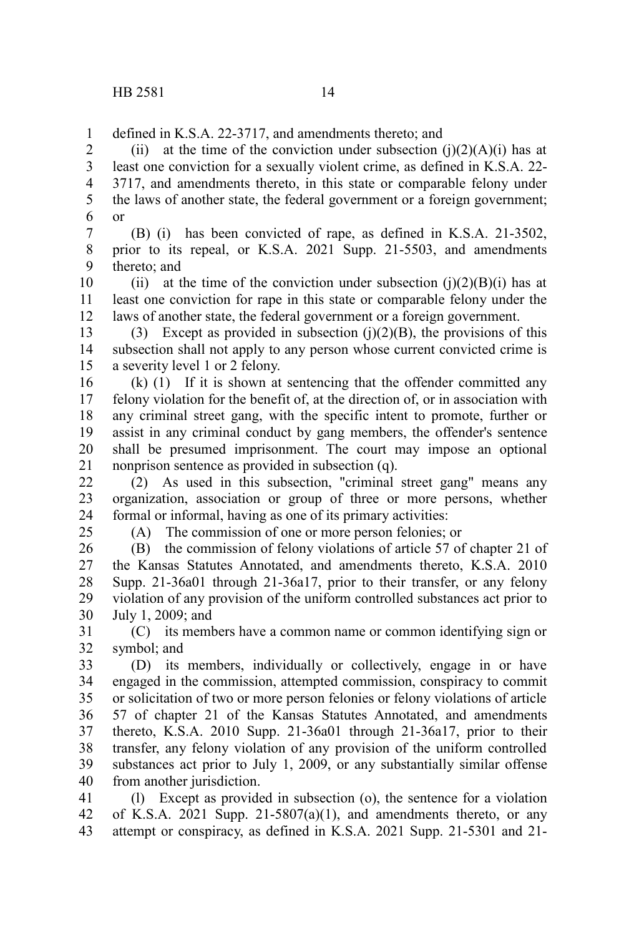defined in K.S.A. 22-3717, and amendments thereto; and 1

(ii) at the time of the conviction under subsection  $(j)(2)(A)(i)$  has at least one conviction for a sexually violent crime, as defined in K.S.A. 22- 3717, and amendments thereto, in this state or comparable felony under the laws of another state, the federal government or a foreign government; or 2 3 4 5 6

(B) (i) has been convicted of rape, as defined in K.S.A. 21-3502, prior to its repeal, or K.S.A. 2021 Supp. 21-5503, and amendments thereto; and 7 8 9

(ii) at the time of the conviction under subsection (j)(2)(B)(i) has at least one conviction for rape in this state or comparable felony under the laws of another state, the federal government or a foreign government. 10 11 12

(3) Except as provided in subsection  $(i)(2)(B)$ , the provisions of this subsection shall not apply to any person whose current convicted crime is a severity level 1 or 2 felony. 13 14 15

(k) (1) If it is shown at sentencing that the offender committed any felony violation for the benefit of, at the direction of, or in association with any criminal street gang, with the specific intent to promote, further or assist in any criminal conduct by gang members, the offender's sentence shall be presumed imprisonment. The court may impose an optional nonprison sentence as provided in subsection (q). 16 17 18 19 20 21

(2) As used in this subsection, "criminal street gang" means any organization, association or group of three or more persons, whether formal or informal, having as one of its primary activities: 22 23 24

25

(A) The commission of one or more person felonies; or

(B) the commission of felony violations of article 57 of chapter 21 of the Kansas Statutes Annotated, and amendments thereto, K.S.A. 2010 Supp. 21-36a01 through 21-36a17, prior to their transfer, or any felony violation of any provision of the uniform controlled substances act prior to July 1, 2009; and 26 27 28 29 30

(C) its members have a common name or common identifying sign or symbol; and 31 32

(D) its members, individually or collectively, engage in or have engaged in the commission, attempted commission, conspiracy to commit or solicitation of two or more person felonies or felony violations of article 57 of chapter 21 of the Kansas Statutes Annotated, and amendments thereto, K.S.A. 2010 Supp. 21-36a01 through 21-36a17, prior to their transfer, any felony violation of any provision of the uniform controlled substances act prior to July 1, 2009, or any substantially similar offense from another jurisdiction. 33 34 35 36 37 38 39 40

(l) Except as provided in subsection (o), the sentence for a violation of K.S.A. 2021 Supp. 21-5807(a)(1), and amendments thereto, or any attempt or conspiracy, as defined in K.S.A. 2021 Supp. 21-5301 and 21- 41 42 43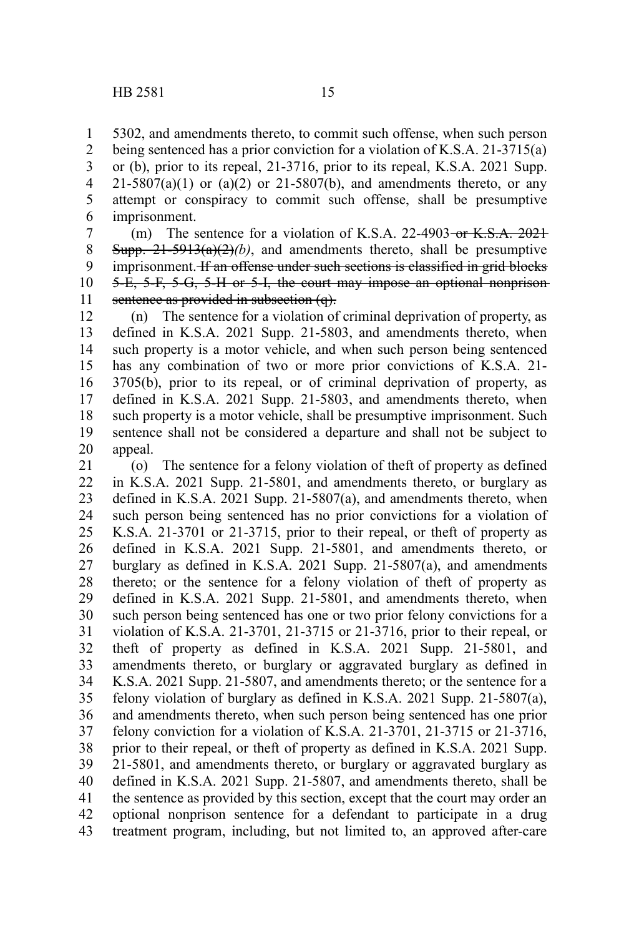5302, and amendments thereto, to commit such offense, when such person being sentenced has a prior conviction for a violation of K.S.A. 21-3715(a) or (b), prior to its repeal, 21-3716, prior to its repeal, K.S.A. 2021 Supp.  $21-5807(a)(1)$  or  $(a)(2)$  or  $21-5807(b)$ , and amendments thereto, or any attempt or conspiracy to commit such offense, shall be presumptive imprisonment. 1 2 3 4 5 6

(m) The sentence for a violation of K.S.A. 22-4903-or  $K.S.A. 2021$ Supp.  $21-5913(a)(2)(b)$ , and amendments thereto, shall be presumptive imprisonment. If an offense under such sections is classified in grid blocks 5-E, 5-F, 5-G, 5-H or 5-I, the court may impose an optional nonprison sentence as provided in subsection (q). 7 8 9 10 11

(n) The sentence for a violation of criminal deprivation of property, as defined in K.S.A. 2021 Supp. 21-5803, and amendments thereto, when such property is a motor vehicle, and when such person being sentenced has any combination of two or more prior convictions of K.S.A. 21- 3705(b), prior to its repeal, or of criminal deprivation of property, as defined in K.S.A. 2021 Supp. 21-5803, and amendments thereto, when such property is a motor vehicle, shall be presumptive imprisonment. Such sentence shall not be considered a departure and shall not be subject to appeal. 12 13 14 15 16 17 18 19 20

(o) The sentence for a felony violation of theft of property as defined in K.S.A. 2021 Supp. 21-5801, and amendments thereto, or burglary as defined in K.S.A.  $2021$  Supp.  $21-5807(a)$ , and amendments thereto, when such person being sentenced has no prior convictions for a violation of K.S.A. 21-3701 or 21-3715, prior to their repeal, or theft of property as defined in K.S.A. 2021 Supp. 21-5801, and amendments thereto, or burglary as defined in K.S.A. 2021 Supp. 21-5807(a), and amendments thereto; or the sentence for a felony violation of theft of property as defined in K.S.A. 2021 Supp. 21-5801, and amendments thereto, when such person being sentenced has one or two prior felony convictions for a violation of K.S.A. 21-3701, 21-3715 or 21-3716, prior to their repeal, or theft of property as defined in K.S.A. 2021 Supp. 21-5801, and amendments thereto, or burglary or aggravated burglary as defined in K.S.A. 2021 Supp. 21-5807, and amendments thereto; or the sentence for a felony violation of burglary as defined in K.S.A. 2021 Supp. 21-5807(a), and amendments thereto, when such person being sentenced has one prior felony conviction for a violation of K.S.A. 21-3701, 21-3715 or 21-3716, prior to their repeal, or theft of property as defined in K.S.A. 2021 Supp. 21-5801, and amendments thereto, or burglary or aggravated burglary as defined in K.S.A. 2021 Supp. 21-5807, and amendments thereto, shall be the sentence as provided by this section, except that the court may order an optional nonprison sentence for a defendant to participate in a drug treatment program, including, but not limited to, an approved after-care 21 22 23 24 25 26 27 28 29 30 31 32 33 34 35 36 37 38 39 40 41 42 43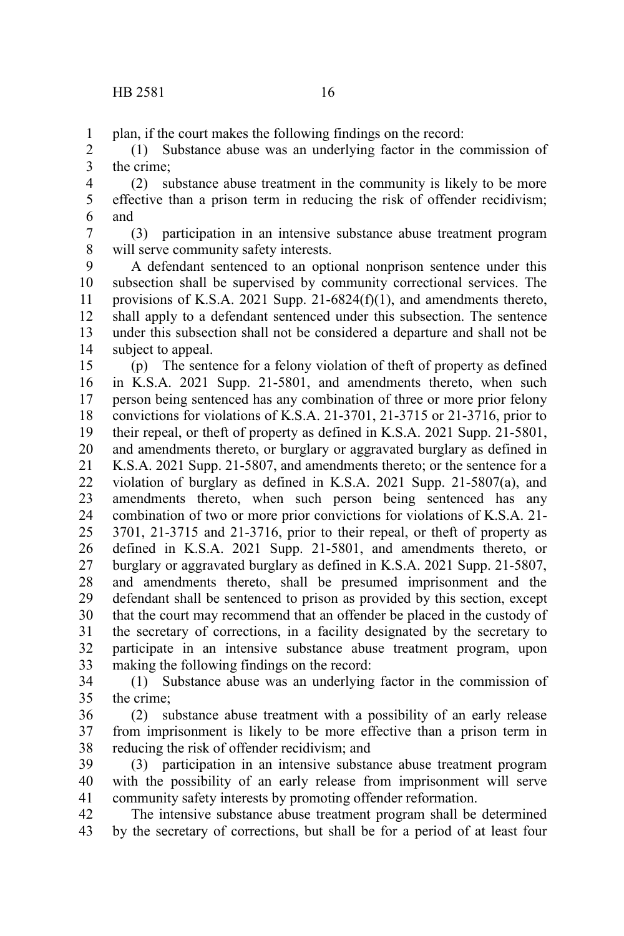plan, if the court makes the following findings on the record: 1

(1) Substance abuse was an underlying factor in the commission of the crime; 2 3

(2) substance abuse treatment in the community is likely to be more effective than a prison term in reducing the risk of offender recidivism; and 4 5 6

(3) participation in an intensive substance abuse treatment program will serve community safety interests. 7 8

A defendant sentenced to an optional nonprison sentence under this subsection shall be supervised by community correctional services. The provisions of K.S.A. 2021 Supp. 21-6824( $f$ )(1), and amendments thereto, shall apply to a defendant sentenced under this subsection. The sentence under this subsection shall not be considered a departure and shall not be subject to appeal. 9 10 11 12 13 14

(p) The sentence for a felony violation of theft of property as defined in K.S.A. 2021 Supp. 21-5801, and amendments thereto, when such person being sentenced has any combination of three or more prior felony convictions for violations of K.S.A. 21-3701, 21-3715 or 21-3716, prior to their repeal, or theft of property as defined in K.S.A. 2021 Supp. 21-5801, and amendments thereto, or burglary or aggravated burglary as defined in K.S.A. 2021 Supp. 21-5807, and amendments thereto; or the sentence for a violation of burglary as defined in K.S.A. 2021 Supp. 21-5807(a), and amendments thereto, when such person being sentenced has any combination of two or more prior convictions for violations of K.S.A. 21- 3701, 21-3715 and 21-3716, prior to their repeal, or theft of property as defined in K.S.A. 2021 Supp. 21-5801, and amendments thereto, or burglary or aggravated burglary as defined in K.S.A. 2021 Supp. 21-5807, and amendments thereto, shall be presumed imprisonment and the defendant shall be sentenced to prison as provided by this section, except that the court may recommend that an offender be placed in the custody of the secretary of corrections, in a facility designated by the secretary to participate in an intensive substance abuse treatment program, upon making the following findings on the record: 15 16 17 18 19 20 21 22 23 24 25 26 27 28 29 30 31 32 33

(1) Substance abuse was an underlying factor in the commission of the crime; 34 35

(2) substance abuse treatment with a possibility of an early release from imprisonment is likely to be more effective than a prison term in reducing the risk of offender recidivism; and 36 37 38

(3) participation in an intensive substance abuse treatment program with the possibility of an early release from imprisonment will serve community safety interests by promoting offender reformation. 39 40 41

The intensive substance abuse treatment program shall be determined by the secretary of corrections, but shall be for a period of at least four 42 43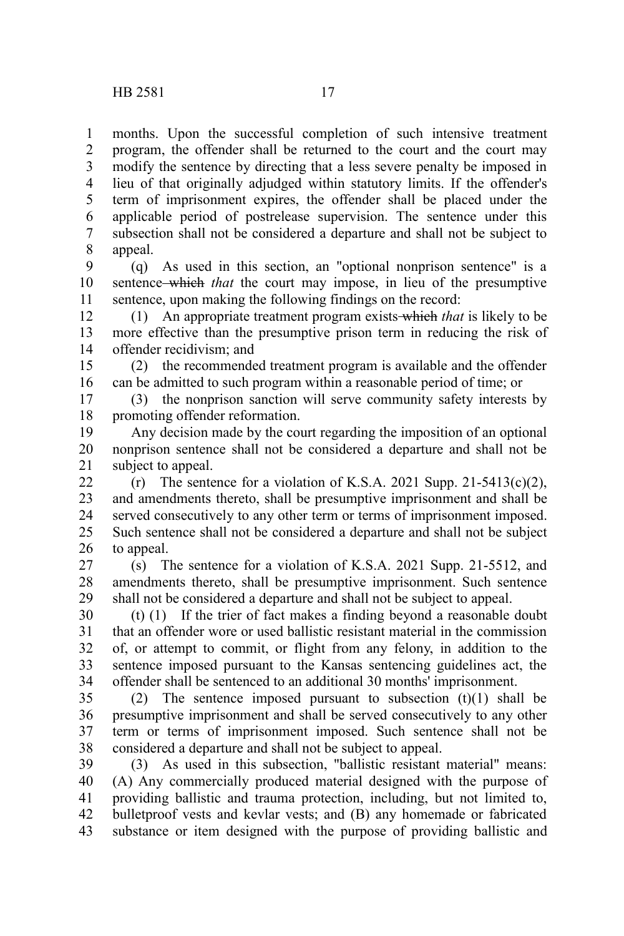months. Upon the successful completion of such intensive treatment program, the offender shall be returned to the court and the court may modify the sentence by directing that a less severe penalty be imposed in lieu of that originally adjudged within statutory limits. If the offender's term of imprisonment expires, the offender shall be placed under the applicable period of postrelease supervision. The sentence under this subsection shall not be considered a departure and shall not be subject to appeal. 1 2 3 4 5 6 7 8

(q) As used in this section, an "optional nonprison sentence" is a sentence which *that* the court may impose, in lieu of the presumptive sentence, upon making the following findings on the record: 9 10 11

(1) An appropriate treatment program exists which *that* is likely to be more effective than the presumptive prison term in reducing the risk of offender recidivism; and 12 13 14

(2) the recommended treatment program is available and the offender can be admitted to such program within a reasonable period of time; or 15 16

(3) the nonprison sanction will serve community safety interests by promoting offender reformation. 17 18

Any decision made by the court regarding the imposition of an optional nonprison sentence shall not be considered a departure and shall not be subject to appeal. 19 20 21

(r) The sentence for a violation of K.S.A. 2021 Supp. 21-5413(c)(2), and amendments thereto, shall be presumptive imprisonment and shall be served consecutively to any other term or terms of imprisonment imposed. Such sentence shall not be considered a departure and shall not be subject to appeal. 22 23 24 25 26

(s) The sentence for a violation of K.S.A. 2021 Supp. 21-5512, and amendments thereto, shall be presumptive imprisonment. Such sentence shall not be considered a departure and shall not be subject to appeal. 27 28 29

(t) (1) If the trier of fact makes a finding beyond a reasonable doubt that an offender wore or used ballistic resistant material in the commission of, or attempt to commit, or flight from any felony, in addition to the sentence imposed pursuant to the Kansas sentencing guidelines act, the offender shall be sentenced to an additional 30 months' imprisonment. 30 31 32 33 34

(2) The sentence imposed pursuant to subsection  $(t)(1)$  shall be presumptive imprisonment and shall be served consecutively to any other term or terms of imprisonment imposed. Such sentence shall not be considered a departure and shall not be subject to appeal. 35 36 37 38

(3) As used in this subsection, "ballistic resistant material" means: (A) Any commercially produced material designed with the purpose of providing ballistic and trauma protection, including, but not limited to, bulletproof vests and kevlar vests; and (B) any homemade or fabricated substance or item designed with the purpose of providing ballistic and 39 40 41 42 43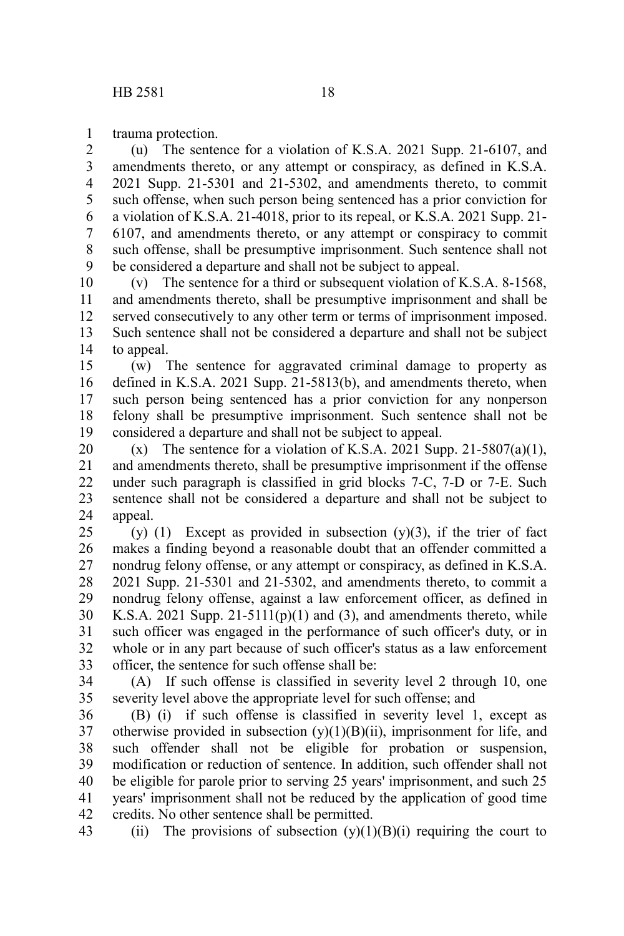trauma protection. 1

(u) The sentence for a violation of K.S.A. 2021 Supp. 21-6107, and amendments thereto, or any attempt or conspiracy, as defined in K.S.A. 2021 Supp. 21-5301 and 21-5302, and amendments thereto, to commit such offense, when such person being sentenced has a prior conviction for a violation of K.S.A. 21-4018, prior to its repeal, or K.S.A. 2021 Supp. 21- 6107, and amendments thereto, or any attempt or conspiracy to commit such offense, shall be presumptive imprisonment. Such sentence shall not be considered a departure and shall not be subject to appeal. 2 3 4 5 6 7 8 9

(v) The sentence for a third or subsequent violation of K.S.A. 8-1568, and amendments thereto, shall be presumptive imprisonment and shall be served consecutively to any other term or terms of imprisonment imposed. Such sentence shall not be considered a departure and shall not be subject to appeal. 10 11 12 13 14

(w) The sentence for aggravated criminal damage to property as defined in K.S.A. 2021 Supp. 21-5813(b), and amendments thereto, when such person being sentenced has a prior conviction for any nonperson felony shall be presumptive imprisonment. Such sentence shall not be considered a departure and shall not be subject to appeal. 15 16 17 18 19

(x) The sentence for a violation of K.S.A. 2021 Supp. 21-5807(a)(1), and amendments thereto, shall be presumptive imprisonment if the offense under such paragraph is classified in grid blocks 7-C, 7-D or 7-E. Such sentence shall not be considered a departure and shall not be subject to appeal. 20 21 22 23 24

(y) (1) Except as provided in subsection  $(y)(3)$ , if the trier of fact makes a finding beyond a reasonable doubt that an offender committed a nondrug felony offense, or any attempt or conspiracy, as defined in K.S.A. 2021 Supp. 21-5301 and 21-5302, and amendments thereto, to commit a nondrug felony offense, against a law enforcement officer, as defined in K.S.A. 2021 Supp.  $21-5111(p)(1)$  and (3), and amendments thereto, while such officer was engaged in the performance of such officer's duty, or in whole or in any part because of such officer's status as a law enforcement officer, the sentence for such offense shall be: 25 26 27 28 29 30 31 32 33

(A) If such offense is classified in severity level 2 through 10, one severity level above the appropriate level for such offense; and 34 35

(B) (i) if such offense is classified in severity level 1, except as otherwise provided in subsection  $(y)(1)(B)(ii)$ , imprisonment for life, and such offender shall not be eligible for probation or suspension, modification or reduction of sentence. In addition, such offender shall not be eligible for parole prior to serving 25 years' imprisonment, and such 25 years' imprisonment shall not be reduced by the application of good time credits. No other sentence shall be permitted. 36 37 38 39 40 41 42

(ii) The provisions of subsection  $(y)(1)(B)(i)$  requiring the court to 43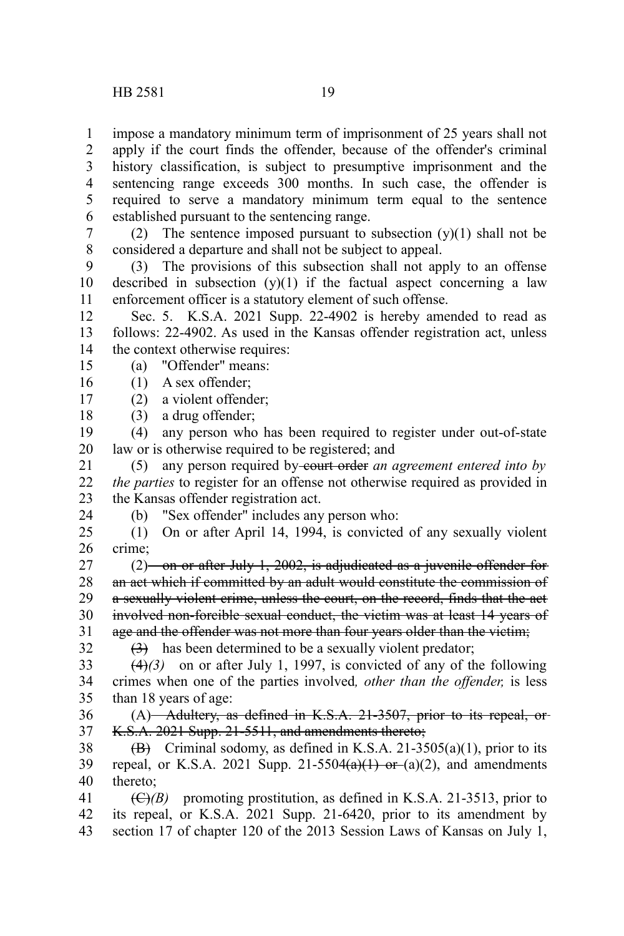impose a mandatory minimum term of imprisonment of 25 years shall not apply if the court finds the offender, because of the offender's criminal history classification, is subject to presumptive imprisonment and the sentencing range exceeds 300 months. In such case, the offender is required to serve a mandatory minimum term equal to the sentence established pursuant to the sentencing range. 1 2 3 4 5 6

(2) The sentence imposed pursuant to subsection  $(y)(1)$  shall not be considered a departure and shall not be subject to appeal. 7 8

(3) The provisions of this subsection shall not apply to an offense described in subsection  $(y)(1)$  if the factual aspect concerning a law enforcement officer is a statutory element of such offense. 9 10 11

Sec. 5. K.S.A. 2021 Supp. 22-4902 is hereby amended to read as follows: 22-4902. As used in the Kansas offender registration act, unless the context otherwise requires: 12 13 14

- (a) "Offender" means: 15
- (1) A sex offender; 16

24

- (2) a violent offender; 17
- (3) a drug offender; 18

(4) any person who has been required to register under out-of-state law or is otherwise required to be registered; and 19 20

(5) any person required by-court order *an agreement entered into by the parties* to register for an offense not otherwise required as provided in the Kansas offender registration act. 21 22 23

(b) "Sex offender" includes any person who:

(1) On or after April 14, 1994, is convicted of any sexually violent crime; 25 26

 $(2)$  on or after July 1, 2002, is adjudicated as a juvenile offender for an act which if committed by an adult would constitute the commission of a sexually violent crime, unless the court, on the record, finds that the act involved non-forcible sexual conduct, the victim was at least 14 years of age and the offender was not more than four years older than the victim; 27 28 29 30 31 32

 $(3)$  has been determined to be a sexually violent predator;

(4)*(3)* on or after July 1, 1997, is convicted of any of the following crimes when one of the parties involved*, other than the offender,* is less than 18 years of age: 33 34 35

(A) Adultery, as defined in K.S.A. 21-3507, prior to its repeal, or-K.S.A. 2021 Supp. 21-5511, and amendments thereto; 36 37

 $\overrightarrow{B}$  Criminal sodomy, as defined in K.S.A. 21-3505(a)(1), prior to its repeal, or K.S.A. 2021 Supp. 21-5504 $(a)(1)$  or  $(a)(2)$ , and amendments thereto; 38 39 40

 $(\bigoplus/B)$  promoting prostitution, as defined in K.S.A. 21-3513, prior to its repeal, or K.S.A. 2021 Supp. 21-6420, prior to its amendment by section 17 of chapter 120 of the 2013 Session Laws of Kansas on July 1, 41 42 43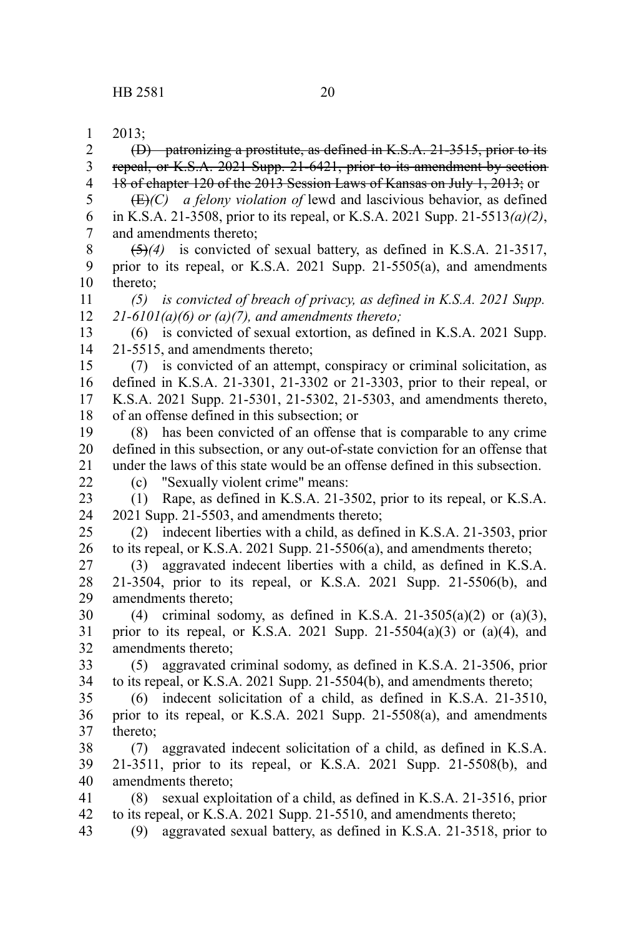2013; 1

(D) patronizing a prostitute, as defined in K.S.A. 21-3515, prior to its repeal, or K.S.A. 2021 Supp. 21-6421, prior to its amendment by section 18 of chapter 120 of the 2013 Session Laws of Kansas on July 1, 2013; or  $(E)(C)$  *a felony violation of* lewd and lascivious behavior, as defined in K.S.A. 21-3508, prior to its repeal, or K.S.A. 2021 Supp. 21-5513*(a)(2)*, and amendments thereto; (5)*(4)* is convicted of sexual battery, as defined in K.S.A. 21-3517, prior to its repeal, or K.S.A. 2021 Supp. 21-5505(a), and amendments thereto; *(5) is convicted of breach of privacy, as defined in K.S.A. 2021 Supp. 21-6101(a)(6) or (a)(7), and amendments thereto;* (6) is convicted of sexual extortion, as defined in K.S.A. 2021 Supp. 21-5515, and amendments thereto; (7) is convicted of an attempt, conspiracy or criminal solicitation, as defined in K.S.A. 21-3301, 21-3302 or 21-3303, prior to their repeal, or K.S.A. 2021 Supp. 21-5301, 21-5302, 21-5303, and amendments thereto, of an offense defined in this subsection; or (8) has been convicted of an offense that is comparable to any crime defined in this subsection, or any out-of-state conviction for an offense that under the laws of this state would be an offense defined in this subsection. (c) "Sexually violent crime" means: (1) Rape, as defined in K.S.A. 21-3502, prior to its repeal, or K.S.A. 2021 Supp. 21-5503, and amendments thereto; (2) indecent liberties with a child, as defined in K.S.A. 21-3503, prior to its repeal, or K.S.A. 2021 Supp. 21-5506(a), and amendments thereto; (3) aggravated indecent liberties with a child, as defined in K.S.A. 21-3504, prior to its repeal, or K.S.A. 2021 Supp. 21-5506(b), and amendments thereto; (4) criminal sodomy, as defined in K.S.A. 21-3505(a)(2) or (a)(3), prior to its repeal, or K.S.A. 2021 Supp. 21-5504(a)(3) or (a)(4), and amendments thereto; (5) aggravated criminal sodomy, as defined in K.S.A. 21-3506, prior to its repeal, or K.S.A. 2021 Supp. 21-5504(b), and amendments thereto; (6) indecent solicitation of a child, as defined in K.S.A. 21-3510, prior to its repeal, or K.S.A. 2021 Supp. 21-5508(a), and amendments thereto; (7) aggravated indecent solicitation of a child, as defined in K.S.A. 21-3511, prior to its repeal, or K.S.A. 2021 Supp. 21-5508(b), and amendments thereto; (8) sexual exploitation of a child, as defined in K.S.A. 21-3516, prior to its repeal, or K.S.A. 2021 Supp. 21-5510, and amendments thereto; (9) aggravated sexual battery, as defined in K.S.A. 21-3518, prior to 2 3 4 5 6 7 8 9 10 11 12 13 14 15 16 17 18 19 20 21 22 23 24 25 26 27 28 29 30 31 32 33 34 35 36 37 38 39 40 41 42 43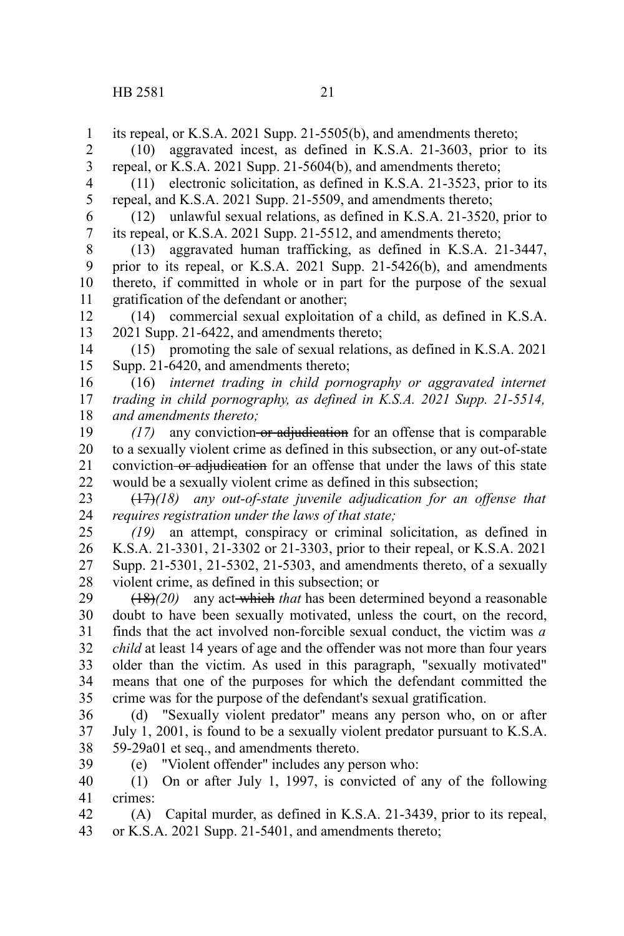1 2

(10) aggravated incest, as defined in K.S.A. 21-3603, prior to its

its repeal, or K.S.A. 2021 Supp. 21-5505(b), and amendments thereto;

repeal, or K.S.A. 2021 Supp. 21-5604(b), and amendments thereto; (11) electronic solicitation, as defined in K.S.A. 21-3523, prior to its repeal, and K.S.A. 2021 Supp. 21-5509, and amendments thereto; (12) unlawful sexual relations, as defined in K.S.A. 21-3520, prior to its repeal, or K.S.A. 2021 Supp. 21-5512, and amendments thereto; (13) aggravated human trafficking, as defined in K.S.A. 21-3447, prior to its repeal, or K.S.A. 2021 Supp. 21-5426(b), and amendments thereto, if committed in whole or in part for the purpose of the sexual gratification of the defendant or another; (14) commercial sexual exploitation of a child, as defined in K.S.A. 2021 Supp. 21-6422, and amendments thereto; (15) promoting the sale of sexual relations, as defined in K.S.A. 2021 Supp. 21-6420, and amendments thereto; (16) *internet trading in child pornography or aggravated internet trading in child pornography, as defined in K.S.A. 2021 Supp. 21-5514, and amendments thereto; (17)* any conviction or adjudication for an offense that is comparable 3 4 5 6 7 8 9 10 11 12 13 14 15 16 17 18 19

to a sexually violent crime as defined in this subsection, or any out-of-state conviction or adjudication for an offense that under the laws of this state would be a sexually violent crime as defined in this subsection; 20 21 22

(17)*(18) any out-of-state juvenile adjudication for an offense that requires registration under the laws of that state;* 23 24

*(19)* an attempt, conspiracy or criminal solicitation, as defined in K.S.A. 21-3301, 21-3302 or 21-3303, prior to their repeal, or K.S.A. 2021 Supp. 21-5301, 21-5302, 21-5303, and amendments thereto, of a sexually violent crime, as defined in this subsection; or 25 26 27 28

(18)*(20)* any act which *that* has been determined beyond a reasonable doubt to have been sexually motivated, unless the court, on the record, finds that the act involved non-forcible sexual conduct, the victim was *a child* at least 14 years of age and the offender was not more than four years older than the victim. As used in this paragraph, "sexually motivated" means that one of the purposes for which the defendant committed the crime was for the purpose of the defendant's sexual gratification. 29 30 31 32 33 34 35

(d) "Sexually violent predator" means any person who, on or after July 1, 2001, is found to be a sexually violent predator pursuant to K.S.A. 59-29a01 et seq., and amendments thereto. 36 37 38

39

(e) "Violent offender" includes any person who:

(1) On or after July 1, 1997, is convicted of any of the following crimes: 40 41

(A) Capital murder, as defined in K.S.A. 21-3439, prior to its repeal, or K.S.A. 2021 Supp. 21-5401, and amendments thereto; 42 43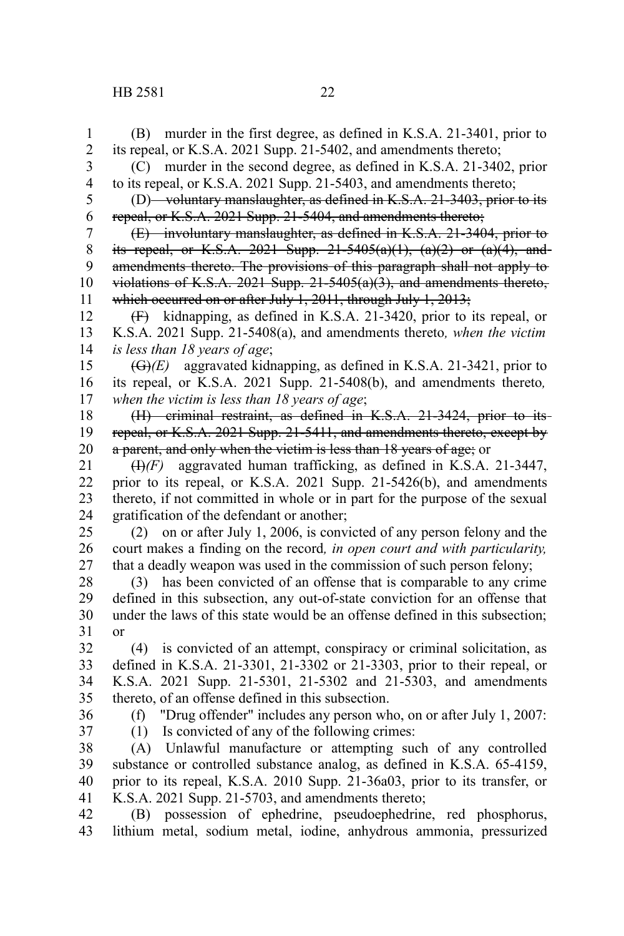## HB 2581 22

(B) murder in the first degree, as defined in K.S.A. 21-3401, prior to its repeal, or K.S.A. 2021 Supp. 21-5402, and amendments thereto; (C) murder in the second degree, as defined in K.S.A. 21-3402, prior to its repeal, or K.S.A. 2021 Supp. 21-5403, and amendments thereto; (D) voluntary manslaughter, as defined in K.S.A. 21-3403, prior to its repeal, or K.S.A. 2021 Supp. 21-5404, and amendments thereto; (E) involuntary manslaughter, as defined in K.S.A. 21-3404, prior to its repeal, or K.S.A. 2021 Supp.  $21-5405(a)(1)$ ,  $(a)(2)$  or  $(a)(4)$ , and amendments thereto. The provisions of this paragraph shall not apply to violations of K.S.A. 2021 Supp.  $21-5405(a)(3)$ , and amendments thereto, which occurred on or after July 1, 2011, through July 1, 2013; (F) kidnapping, as defined in K.S.A. 21-3420, prior to its repeal, or K.S.A. 2021 Supp. 21-5408(a), and amendments thereto*, when the victim is less than 18 years of age*; (G)*(E)* aggravated kidnapping, as defined in K.S.A. 21-3421, prior to its repeal, or K.S.A. 2021 Supp. 21-5408(b), and amendments thereto*, when the victim is less than 18 years of age*; (H) criminal restraint, as defined in K.S.A. 21-3424, prior to its repeal, or K.S.A. 2021 Supp. 21-5411, and amendments thereto, except by a parent, and only when the victim is less than 18 years of age; or (I)*(F)* aggravated human trafficking, as defined in K.S.A. 21-3447, prior to its repeal, or K.S.A. 2021 Supp. 21-5426(b), and amendments thereto, if not committed in whole or in part for the purpose of the sexual gratification of the defendant or another; (2) on or after July 1, 2006, is convicted of any person felony and the court makes a finding on the record*, in open court and with particularity,* that a deadly weapon was used in the commission of such person felony; (3) has been convicted of an offense that is comparable to any crime defined in this subsection, any out-of-state conviction for an offense that under the laws of this state would be an offense defined in this subsection; or (4) is convicted of an attempt, conspiracy or criminal solicitation, as defined in K.S.A. 21-3301, 21-3302 or 21-3303, prior to their repeal, or K.S.A. 2021 Supp. 21-5301, 21-5302 and 21-5303, and amendments thereto, of an offense defined in this subsection. (f) "Drug offender" includes any person who, on or after July 1, 2007: (1) Is convicted of any of the following crimes: (A) Unlawful manufacture or attempting such of any controlled substance or controlled substance analog, as defined in K.S.A. 65-4159, prior to its repeal, K.S.A. 2010 Supp. 21-36a03, prior to its transfer, or K.S.A. 2021 Supp. 21-5703, and amendments thereto; 1 2 3 4 5 6 7 8 9 10 11 12 13 14 15 16 17 18 19 20 21 22 23 24 25 26 27 28 29 30 31 32 33 34 35 36 37 38 39 40 41

(B) possession of ephedrine, pseudoephedrine, red phosphorus, lithium metal, sodium metal, iodine, anhydrous ammonia, pressurized 42 43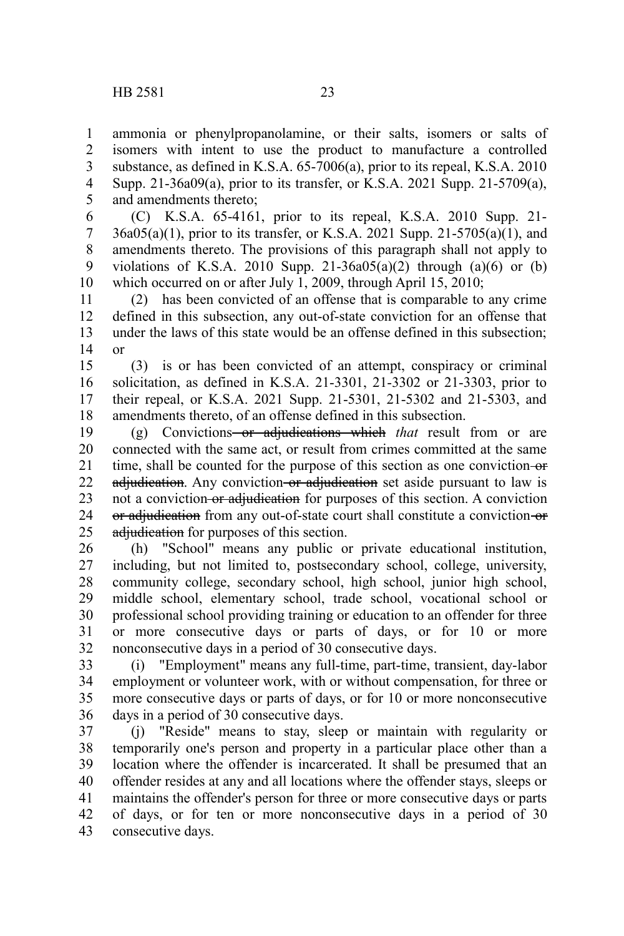ammonia or phenylpropanolamine, or their salts, isomers or salts of isomers with intent to use the product to manufacture a controlled substance, as defined in K.S.A. 65-7006(a), prior to its repeal, K.S.A. 2010 Supp. 21-36a09(a), prior to its transfer, or K.S.A. 2021 Supp. 21-5709(a), and amendments thereto; 1 2 3 4 5

(C) K.S.A. 65-4161, prior to its repeal, K.S.A. 2010 Supp. 21- 36a05(a)(1), prior to its transfer, or K.S.A. 2021 Supp. 21-5705(a)(1), and amendments thereto. The provisions of this paragraph shall not apply to violations of K.S.A. 2010 Supp. 21-36a05(a)(2) through (a)(6) or (b) which occurred on or after July 1, 2009, through April 15, 2010; 6 7 8 9 10

(2) has been convicted of an offense that is comparable to any crime defined in this subsection, any out-of-state conviction for an offense that under the laws of this state would be an offense defined in this subsection; or 11 12 13 14

(3) is or has been convicted of an attempt, conspiracy or criminal solicitation, as defined in K.S.A. 21-3301, 21-3302 or 21-3303, prior to their repeal, or K.S.A. 2021 Supp. 21-5301, 21-5302 and 21-5303, and amendments thereto, of an offense defined in this subsection. 15 16 17 18

(g) Convictions or adjudications which *that* result from or are connected with the same act, or result from crimes committed at the same time, shall be counted for the purpose of this section as one conviction-or adjudication. Any conviction or adjudication set aside pursuant to law is not a conviction or adjudication for purposes of this section. A conviction or adjudication from any out-of-state court shall constitute a conviction-or adjudication for purposes of this section. 19 20 21 22 23 24 25

(h) "School" means any public or private educational institution, including, but not limited to, postsecondary school, college, university, community college, secondary school, high school, junior high school, middle school, elementary school, trade school, vocational school or professional school providing training or education to an offender for three or more consecutive days or parts of days, or for 10 or more nonconsecutive days in a period of 30 consecutive days. 26 27 28 29 30 31 32

(i) "Employment" means any full-time, part-time, transient, day-labor employment or volunteer work, with or without compensation, for three or more consecutive days or parts of days, or for 10 or more nonconsecutive days in a period of 30 consecutive days. 33 34 35 36

(j) "Reside" means to stay, sleep or maintain with regularity or temporarily one's person and property in a particular place other than a location where the offender is incarcerated. It shall be presumed that an offender resides at any and all locations where the offender stays, sleeps or maintains the offender's person for three or more consecutive days or parts of days, or for ten or more nonconsecutive days in a period of 30 consecutive days. 37 38 39 40 41 42 43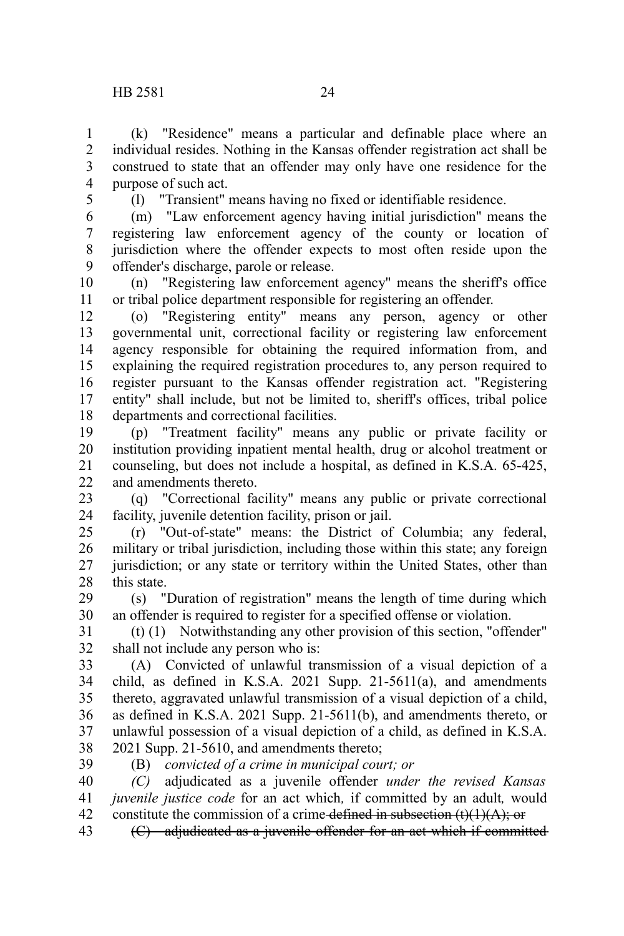(k) "Residence" means a particular and definable place where an individual resides. Nothing in the Kansas offender registration act shall be construed to state that an offender may only have one residence for the purpose of such act. 1 2 3 4

5

(l) "Transient" means having no fixed or identifiable residence.

(m) "Law enforcement agency having initial jurisdiction" means the registering law enforcement agency of the county or location of jurisdiction where the offender expects to most often reside upon the offender's discharge, parole or release. 6 7 8 9

(n) "Registering law enforcement agency" means the sheriff's office or tribal police department responsible for registering an offender. 10 11

(o) "Registering entity" means any person, agency or other governmental unit, correctional facility or registering law enforcement agency responsible for obtaining the required information from, and explaining the required registration procedures to, any person required to register pursuant to the Kansas offender registration act. "Registering entity" shall include, but not be limited to, sheriff's offices, tribal police departments and correctional facilities. 12 13 14 15 16 17 18

(p) "Treatment facility" means any public or private facility or institution providing inpatient mental health, drug or alcohol treatment or counseling, but does not include a hospital, as defined in K.S.A. 65-425, and amendments thereto. 19 20 21  $22$ 

(q) "Correctional facility" means any public or private correctional facility, juvenile detention facility, prison or jail. 23 24

(r) "Out-of-state" means: the District of Columbia; any federal, military or tribal jurisdiction, including those within this state; any foreign jurisdiction; or any state or territory within the United States, other than this state. 25 26 27 28

(s) "Duration of registration" means the length of time during which an offender is required to register for a specified offense or violation. 29 30

(t) (1) Notwithstanding any other provision of this section, "offender" shall not include any person who is: 31 32

(A) Convicted of unlawful transmission of a visual depiction of a child, as defined in K.S.A. 2021 Supp. 21-5611(a), and amendments thereto, aggravated unlawful transmission of a visual depiction of a child, as defined in K.S.A. 2021 Supp. 21-5611(b), and amendments thereto, or unlawful possession of a visual depiction of a child, as defined in K.S.A. 2021 Supp. 21-5610, and amendments thereto; 33 34 35 36 37 38

39

(B) *convicted of a crime in municipal court; or*

*(C)* adjudicated as a juvenile offender *under the revised Kansas juvenile justice code* for an act which*,* if committed by an adult*,* would constitute the commission of a crime defined in subsection  $(t)(1)(A)$ ; or 40 41 42

(C) adjudicated as a juvenile offender for an act which if committed 43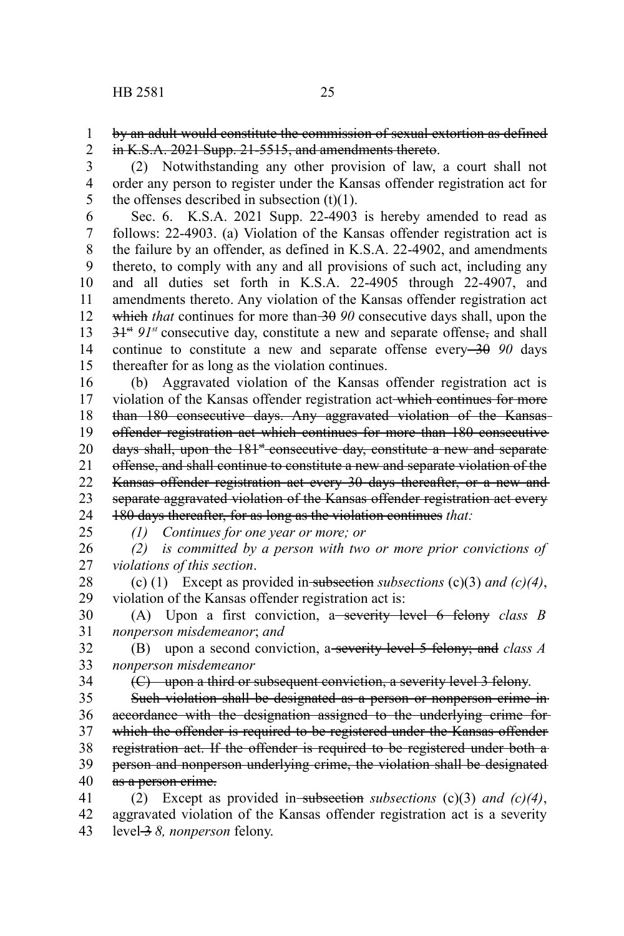by an adult would constitute the commission of sexual extortion as defined in K.S.A. 2021 Supp. 21-5515, and amendments thereto. 1 2

(2) Notwithstanding any other provision of law, a court shall not order any person to register under the Kansas offender registration act for the offenses described in subsection  $(t)(1)$ . 3 4 5

Sec. 6. K.S.A. 2021 Supp. 22-4903 is hereby amended to read as follows: 22-4903. (a) Violation of the Kansas offender registration act is the failure by an offender, as defined in K.S.A. 22-4902, and amendments thereto, to comply with any and all provisions of such act, including any and all duties set forth in K.S.A. 22-4905 through 22-4907, and amendments thereto. Any violation of the Kansas offender registration act which *that* continues for more than 30 90 consecutive days shall, upon the  $31<sup>st</sup> 91<sup>st</sup>$  consecutive day, constitute a new and separate offense<sub>r</sub> and shall continue to constitute a new and separate offense every 30 90 days thereafter for as long as the violation continues. 6 7 8 9 10 11 12 13 14 15

(b) Aggravated violation of the Kansas offender registration act is violation of the Kansas offender registration act which continues for more than 180 consecutive days. Any aggravated violation of the Kansas offender registration act which continues for more than 180 consecutive days shall, upon the 181<sup>st</sup> consecutive day, constitute a new and separate offense, and shall continue to constitute a new and separate violation of the Kansas offender registration act every 30 days thereafter, or a new and separate aggravated violation of the Kansas offender registration act every 180 days thereafter, for as long as the violation continues *that:* 16 17 18 19 20 21 22 23 24

25

*(1) Continues for one year or more; or*

*(2) is committed by a person with two or more prior convictions of violations of this section*. 26 27

(c) (1) Except as provided in subsection *subsections* (c)(3) *and (c)(4)*, violation of the Kansas offender registration act is: 28 29

(A) Upon a first conviction, a severity level 6 felony *class B nonperson misdemeanor*; *and* 30 31

(B) upon a second conviction, a severity level 5 felony; and *class A nonperson misdemeanor* 32 33

34

(C) upon a third or subsequent conviction, a severity level 3 felony.

Such violation shall be designated as a person or nonperson crime in accordance with the designation assigned to the underlying crime for which the offender is required to be registered under the Kansas offender registration act. If the offender is required to be registered under both a person and nonperson underlying crime, the violation shall be designated as a person crime. 35 36 37 38 39 40

(2) Except as provided in subsection *subsections* (c)(3) *and (c)(4)*, aggravated violation of the Kansas offender registration act is a severity level 3 8, nonperson felony. 41 42 43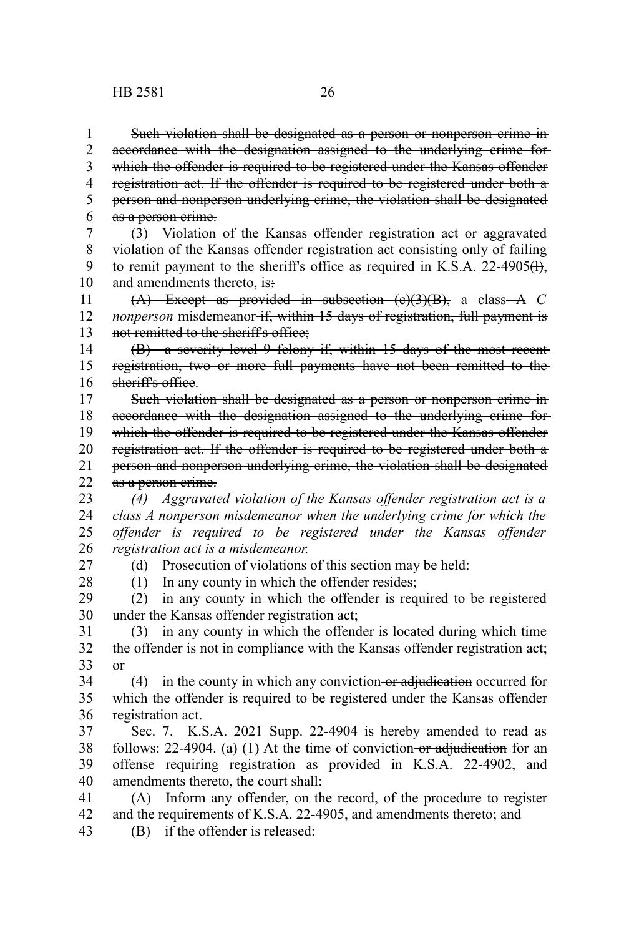Such violation shall be designated as a person or nonperson crime in accordance with the designation assigned to the underlying crime for which the offender is required to be registered under the Kansas offender registration act. If the offender is required to be registered under both a person and nonperson underlying crime, the violation shall be designated as a person crime. 1 2 3 4 5 6

(3) Violation of the Kansas offender registration act or aggravated violation of the Kansas offender registration act consisting only of failing to remit payment to the sheriff's office as required in K.S.A. 22-4905 $(H)$ , and amendments thereto, is-7 8 9 10

(A) Except as provided in subsection (c)(3)(B), a class A *C nonperson* misdemeanor if, within 15 days of registration, full payment is not remitted to the sheriff's office; 11 12 13

(B) a severity level 9 felony if, within 15 days of the most recent registration, two or more full payments have not been remitted to the sheriff's office. 14 15 16

Such violation shall be designated as a person or nonperson crime in accordance with the designation assigned to the underlying crime for which the offender is required to be registered under the Kansas offender registration act. If the offender is required to be registered under both a person and nonperson underlying crime, the violation shall be designated as a person crime. 17 18 19 20 21 22

*(4) Aggravated violation of the Kansas offender registration act is a class A nonperson misdemeanor when the underlying crime for which the offender is required to be registered under the Kansas offender registration act is a misdemeanor.* 23 24 25 26

27 28 (d) Prosecution of violations of this section may be held:

(1) In any county in which the offender resides;

(2) in any county in which the offender is required to be registered under the Kansas offender registration act; 29 30

(3) in any county in which the offender is located during which time the offender is not in compliance with the Kansas offender registration act; or 31 32 33

 $(4)$  in the county in which any conviction-or adjudication occurred for which the offender is required to be registered under the Kansas offender registration act. 34 35 36

Sec. 7. K.S.A. 2021 Supp. 22-4904 is hereby amended to read as follows:  $22-4904$ . (a) (1) At the time of conviction or adjudication for an offense requiring registration as provided in K.S.A. 22-4902, and amendments thereto, the court shall: 37 38 39 40

(A) Inform any offender, on the record, of the procedure to register and the requirements of K.S.A. 22-4905, and amendments thereto; and (B) if the offender is released: 41 42 43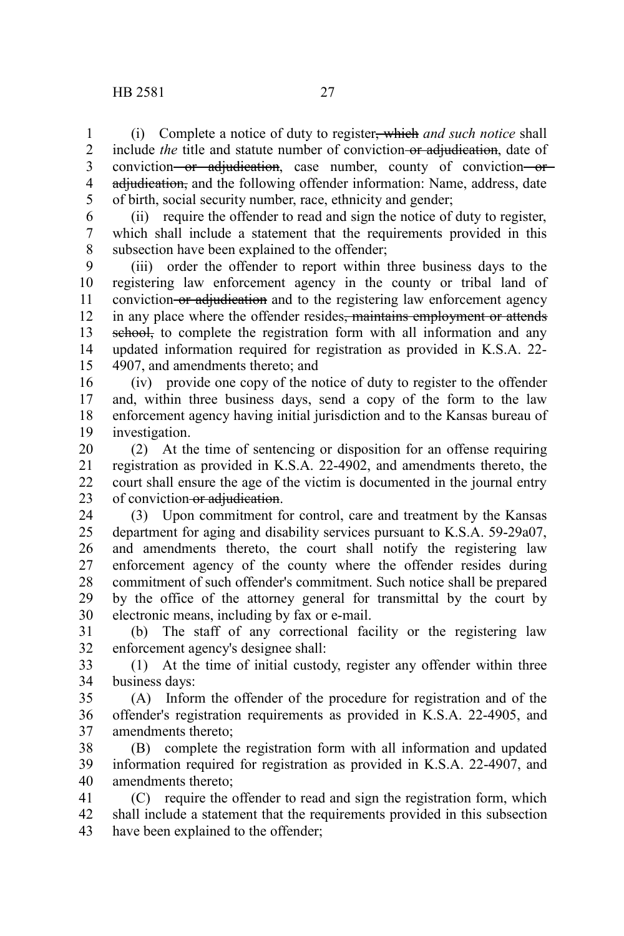(i) Complete a notice of duty to register, which *and such notice* shall include *the* title and statute number of conviction or adjudication, date of conviction or adjudication, case number, county of conviction or adjudication, and the following offender information: Name, address, date of birth, social security number, race, ethnicity and gender; 1 2 3 4 5

(ii) require the offender to read and sign the notice of duty to register, which shall include a statement that the requirements provided in this subsection have been explained to the offender; 6 7 8

(iii) order the offender to report within three business days to the registering law enforcement agency in the county or tribal land of conviction or adjudication and to the registering law enforcement agency in any place where the offender resides<del>, maintains employment or attends</del> school, to complete the registration form with all information and any updated information required for registration as provided in K.S.A. 22- 4907, and amendments thereto; and 9 10 11 12 13 14 15

(iv) provide one copy of the notice of duty to register to the offender and, within three business days, send a copy of the form to the law enforcement agency having initial jurisdiction and to the Kansas bureau of investigation. 16 17 18 19

(2) At the time of sentencing or disposition for an offense requiring registration as provided in K.S.A. 22-4902, and amendments thereto, the court shall ensure the age of the victim is documented in the journal entry of conviction or adjudication. 20 21 22 23

(3) Upon commitment for control, care and treatment by the Kansas department for aging and disability services pursuant to K.S.A. 59-29a07, and amendments thereto, the court shall notify the registering law enforcement agency of the county where the offender resides during commitment of such offender's commitment. Such notice shall be prepared by the office of the attorney general for transmittal by the court by electronic means, including by fax or e-mail. 24 25 26 27 28 29 30

(b) The staff of any correctional facility or the registering law enforcement agency's designee shall: 31 32

(1) At the time of initial custody, register any offender within three business days: 33 34

(A) Inform the offender of the procedure for registration and of the offender's registration requirements as provided in K.S.A. 22-4905, and amendments thereto; 35 36 37

(B) complete the registration form with all information and updated information required for registration as provided in K.S.A. 22-4907, and amendments thereto; 38 39 40

(C) require the offender to read and sign the registration form, which shall include a statement that the requirements provided in this subsection have been explained to the offender; 41 42 43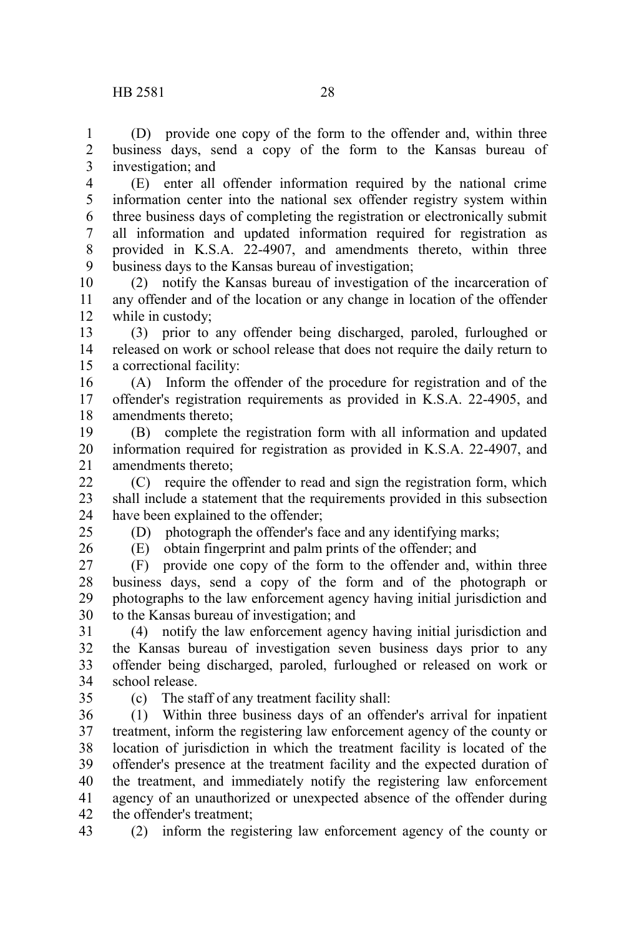business days, send a copy of the form to the Kansas bureau of investigation; and 1 2 3

(E) enter all offender information required by the national crime information center into the national sex offender registry system within three business days of completing the registration or electronically submit all information and updated information required for registration as provided in K.S.A. 22-4907, and amendments thereto, within three business days to the Kansas bureau of investigation; 4 5 6 7 8 9

(2) notify the Kansas bureau of investigation of the incarceration of any offender and of the location or any change in location of the offender while in custody; 10 11 12

(3) prior to any offender being discharged, paroled, furloughed or released on work or school release that does not require the daily return to a correctional facility: 13 14 15

(A) Inform the offender of the procedure for registration and of the offender's registration requirements as provided in K.S.A. 22-4905, and amendments thereto; 16 17 18

(B) complete the registration form with all information and updated information required for registration as provided in K.S.A. 22-4907, and amendments thereto; 19 20 21

(C) require the offender to read and sign the registration form, which shall include a statement that the requirements provided in this subsection have been explained to the offender;  $22$ 23 24

(D) photograph the offender's face and any identifying marks;

25 26

(E) obtain fingerprint and palm prints of the offender; and

(F) provide one copy of the form to the offender and, within three business days, send a copy of the form and of the photograph or photographs to the law enforcement agency having initial jurisdiction and to the Kansas bureau of investigation; and 27 28 29 30

(4) notify the law enforcement agency having initial jurisdiction and the Kansas bureau of investigation seven business days prior to any offender being discharged, paroled, furloughed or released on work or school release. 31 32 33 34

35

(c) The staff of any treatment facility shall:

(1) Within three business days of an offender's arrival for inpatient treatment, inform the registering law enforcement agency of the county or location of jurisdiction in which the treatment facility is located of the offender's presence at the treatment facility and the expected duration of the treatment, and immediately notify the registering law enforcement agency of an unauthorized or unexpected absence of the offender during the offender's treatment; 36 37 38 39 40 41 42

43

(2) inform the registering law enforcement agency of the county or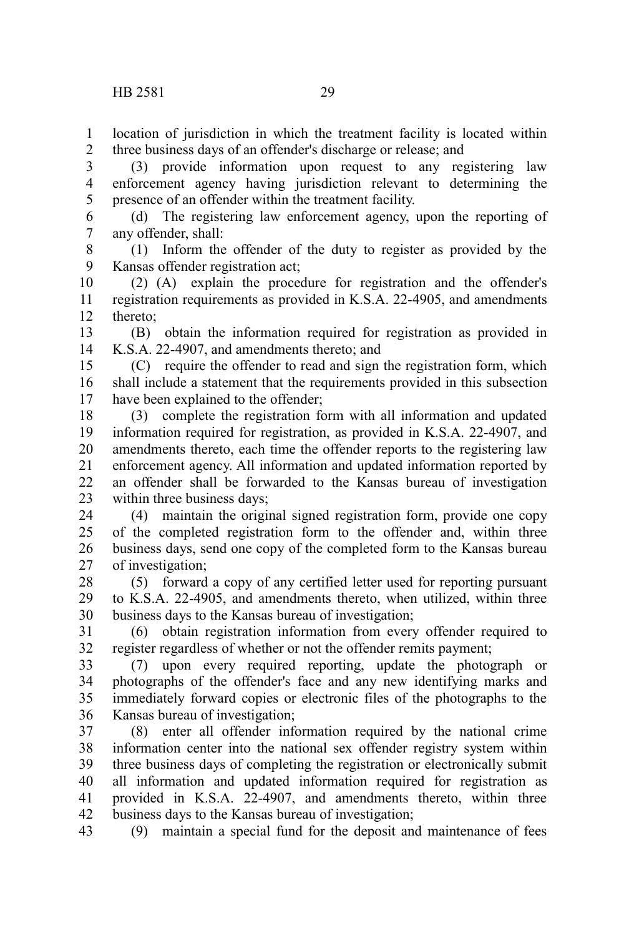location of jurisdiction in which the treatment facility is located within three business days of an offender's discharge or release; and 1 2

(3) provide information upon request to any registering law enforcement agency having jurisdiction relevant to determining the presence of an offender within the treatment facility. 3 4 5

(d) The registering law enforcement agency, upon the reporting of any offender, shall: 6 7

(1) Inform the offender of the duty to register as provided by the Kansas offender registration act; 8 9

(2) (A) explain the procedure for registration and the offender's registration requirements as provided in K.S.A. 22-4905, and amendments thereto; 10 11 12

(B) obtain the information required for registration as provided in K.S.A. 22-4907, and amendments thereto; and 13 14

(C) require the offender to read and sign the registration form, which shall include a statement that the requirements provided in this subsection have been explained to the offender; 15 16 17

(3) complete the registration form with all information and updated information required for registration, as provided in K.S.A. 22-4907, and amendments thereto, each time the offender reports to the registering law enforcement agency. All information and updated information reported by an offender shall be forwarded to the Kansas bureau of investigation within three business days; 18 19 20 21 22 23

(4) maintain the original signed registration form, provide one copy of the completed registration form to the offender and, within three business days, send one copy of the completed form to the Kansas bureau of investigation; 24 25 26 27

(5) forward a copy of any certified letter used for reporting pursuant to K.S.A. 22-4905, and amendments thereto, when utilized, within three business days to the Kansas bureau of investigation; 28 29 30

(6) obtain registration information from every offender required to register regardless of whether or not the offender remits payment; 31 32

(7) upon every required reporting, update the photograph or photographs of the offender's face and any new identifying marks and immediately forward copies or electronic files of the photographs to the Kansas bureau of investigation; 33 34 35 36

(8) enter all offender information required by the national crime information center into the national sex offender registry system within three business days of completing the registration or electronically submit all information and updated information required for registration as provided in K.S.A. 22-4907, and amendments thereto, within three business days to the Kansas bureau of investigation; 37 38 39 40 41 42

(9) maintain a special fund for the deposit and maintenance of fees 43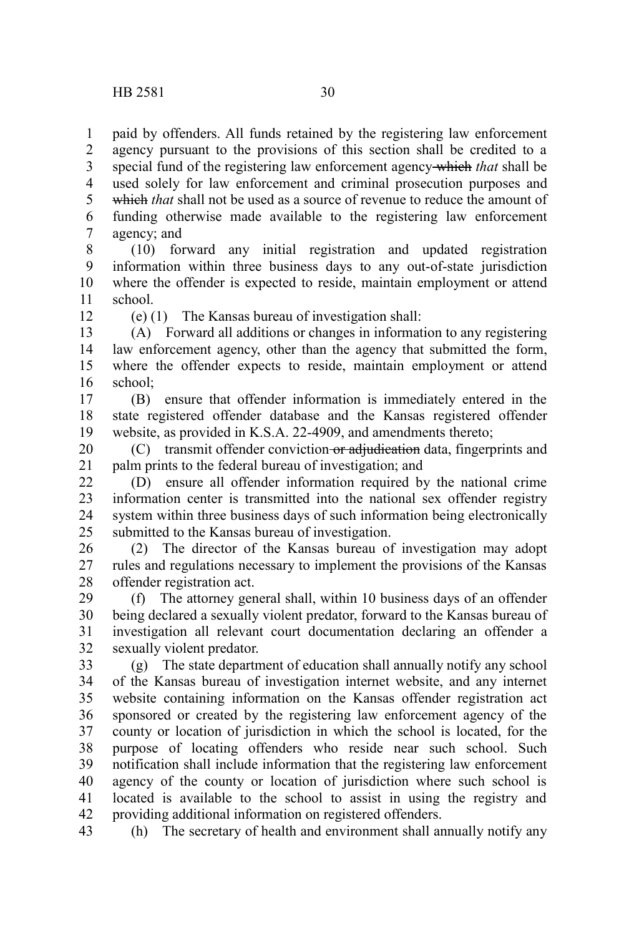paid by offenders. All funds retained by the registering law enforcement agency pursuant to the provisions of this section shall be credited to a special fund of the registering law enforcement agency which *that* shall be used solely for law enforcement and criminal prosecution purposes and which *that* shall not be used as a source of revenue to reduce the amount of funding otherwise made available to the registering law enforcement agency; and 1 2 3 4 5 6 7

(10) forward any initial registration and updated registration information within three business days to any out-of-state jurisdiction where the offender is expected to reside, maintain employment or attend school. 8 9 10 11

12

(e) (1) The Kansas bureau of investigation shall:

(A) Forward all additions or changes in information to any registering law enforcement agency, other than the agency that submitted the form, where the offender expects to reside, maintain employment or attend school; 13 14 15 16

(B) ensure that offender information is immediately entered in the state registered offender database and the Kansas registered offender website, as provided in K.S.A. 22-4909, and amendments thereto; 17 18 19

(C) transmit offender conviction or adjudication data, fingerprints and palm prints to the federal bureau of investigation; and 20 21

(D) ensure all offender information required by the national crime information center is transmitted into the national sex offender registry system within three business days of such information being electronically submitted to the Kansas bureau of investigation.  $22$ 23 24  $25$ 

(2) The director of the Kansas bureau of investigation may adopt rules and regulations necessary to implement the provisions of the Kansas offender registration act. 26 27 28

(f) The attorney general shall, within 10 business days of an offender being declared a sexually violent predator, forward to the Kansas bureau of investigation all relevant court documentation declaring an offender a sexually violent predator. 29 30 31 32

(g) The state department of education shall annually notify any school of the Kansas bureau of investigation internet website, and any internet website containing information on the Kansas offender registration act sponsored or created by the registering law enforcement agency of the county or location of jurisdiction in which the school is located, for the purpose of locating offenders who reside near such school. Such notification shall include information that the registering law enforcement agency of the county or location of jurisdiction where such school is located is available to the school to assist in using the registry and providing additional information on registered offenders. 33 34 35 36 37 38 39 40 41 42

(h) The secretary of health and environment shall annually notify any 43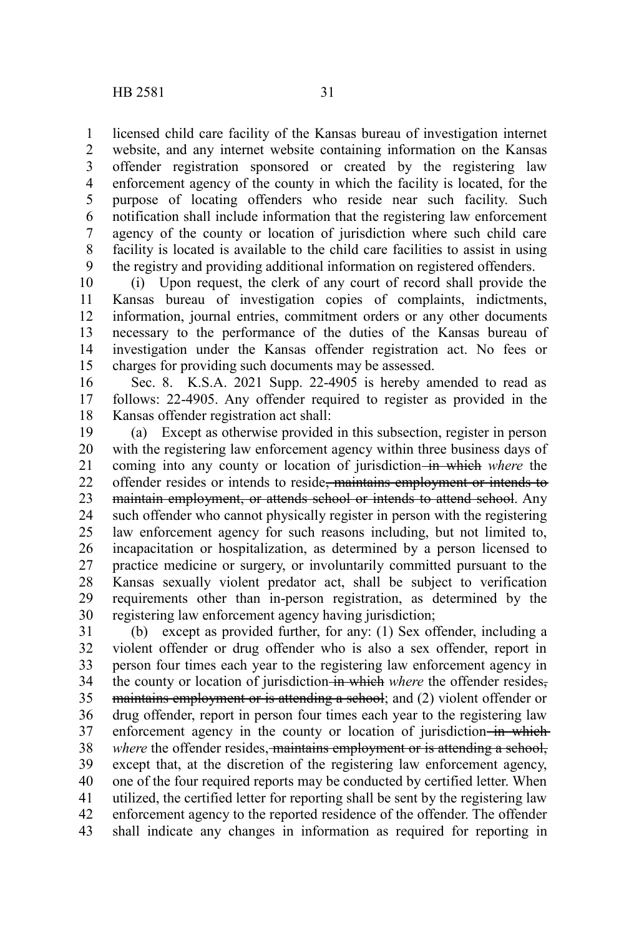licensed child care facility of the Kansas bureau of investigation internet website, and any internet website containing information on the Kansas offender registration sponsored or created by the registering law enforcement agency of the county in which the facility is located, for the purpose of locating offenders who reside near such facility. Such notification shall include information that the registering law enforcement agency of the county or location of jurisdiction where such child care facility is located is available to the child care facilities to assist in using the registry and providing additional information on registered offenders. 1 2 3 4 5 6 7 8 9

(i) Upon request, the clerk of any court of record shall provide the Kansas bureau of investigation copies of complaints, indictments, information, journal entries, commitment orders or any other documents necessary to the performance of the duties of the Kansas bureau of investigation under the Kansas offender registration act. No fees or charges for providing such documents may be assessed. 10 11 12 13 14 15

Sec. 8. K.S.A. 2021 Supp. 22-4905 is hereby amended to read as follows: 22-4905. Any offender required to register as provided in the Kansas offender registration act shall: 16 17 18

(a) Except as otherwise provided in this subsection, register in person with the registering law enforcement agency within three business days of coming into any county or location of jurisdiction-in which where the offender resides or intends to reside, maintains employment or intends to maintain employment, or attends school or intends to attend school. Any such offender who cannot physically register in person with the registering law enforcement agency for such reasons including, but not limited to, incapacitation or hospitalization, as determined by a person licensed to practice medicine or surgery, or involuntarily committed pursuant to the Kansas sexually violent predator act, shall be subject to verification requirements other than in-person registration, as determined by the registering law enforcement agency having jurisdiction; 19 20 21 22 23 24 25 26 27 28 29 30

(b) except as provided further, for any: (1) Sex offender, including a violent offender or drug offender who is also a sex offender, report in person four times each year to the registering law enforcement agency in the county or location of jurisdiction in which where the offender resides, maintains employment or is attending a school; and (2) violent offender or drug offender, report in person four times each year to the registering law enforcement agency in the county or location of jurisdiction-in which*where* the offender resides, maintains employment or is attending a school, except that, at the discretion of the registering law enforcement agency, one of the four required reports may be conducted by certified letter. When utilized, the certified letter for reporting shall be sent by the registering law enforcement agency to the reported residence of the offender. The offender shall indicate any changes in information as required for reporting in 31 32 33 34 35 36 37 38 39 40 41 42 43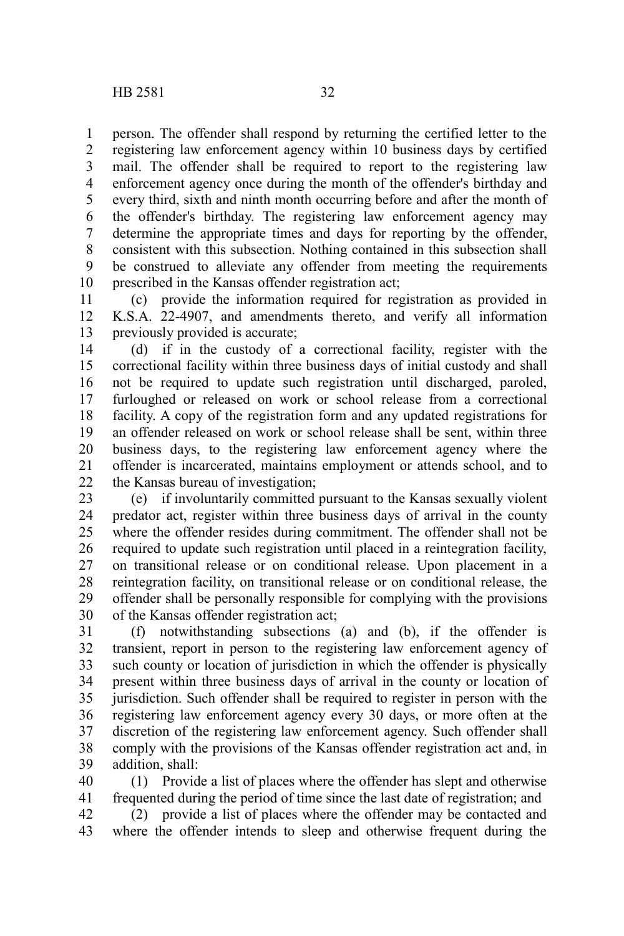person. The offender shall respond by returning the certified letter to the registering law enforcement agency within 10 business days by certified mail. The offender shall be required to report to the registering law enforcement agency once during the month of the offender's birthday and every third, sixth and ninth month occurring before and after the month of the offender's birthday. The registering law enforcement agency may determine the appropriate times and days for reporting by the offender, consistent with this subsection. Nothing contained in this subsection shall be construed to alleviate any offender from meeting the requirements prescribed in the Kansas offender registration act; 1 2 3 4 5 6 7 8 9 10

(c) provide the information required for registration as provided in K.S.A. 22-4907, and amendments thereto, and verify all information previously provided is accurate; 11 12 13

(d) if in the custody of a correctional facility, register with the correctional facility within three business days of initial custody and shall not be required to update such registration until discharged, paroled, furloughed or released on work or school release from a correctional facility. A copy of the registration form and any updated registrations for an offender released on work or school release shall be sent, within three business days, to the registering law enforcement agency where the offender is incarcerated, maintains employment or attends school, and to the Kansas bureau of investigation; 14 15 16 17 18 19 20 21 22

(e) if involuntarily committed pursuant to the Kansas sexually violent predator act, register within three business days of arrival in the county where the offender resides during commitment. The offender shall not be required to update such registration until placed in a reintegration facility, on transitional release or on conditional release. Upon placement in a reintegration facility, on transitional release or on conditional release, the offender shall be personally responsible for complying with the provisions of the Kansas offender registration act; 23 24 25 26 27 28 29 30

(f) notwithstanding subsections (a) and (b), if the offender is transient, report in person to the registering law enforcement agency of such county or location of jurisdiction in which the offender is physically present within three business days of arrival in the county or location of jurisdiction. Such offender shall be required to register in person with the registering law enforcement agency every 30 days, or more often at the discretion of the registering law enforcement agency. Such offender shall comply with the provisions of the Kansas offender registration act and, in addition, shall: 31 32 33 34 35 36 37 38 39

(1) Provide a list of places where the offender has slept and otherwise frequented during the period of time since the last date of registration; and (2) provide a list of places where the offender may be contacted and 40 41 42

where the offender intends to sleep and otherwise frequent during the 43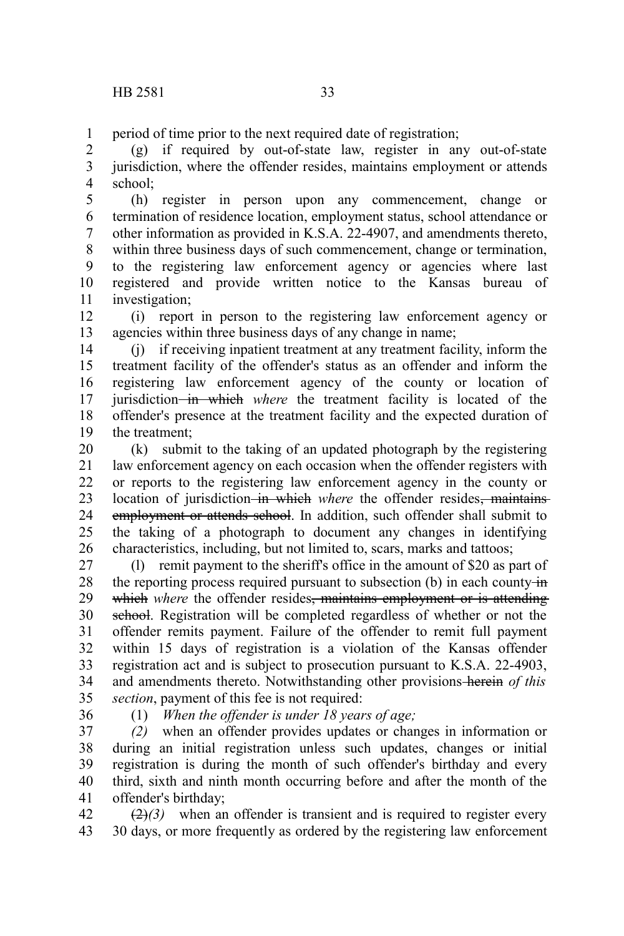period of time prior to the next required date of registration; 1

(g) if required by out-of-state law, register in any out-of-state jurisdiction, where the offender resides, maintains employment or attends school; 2 3 4

(h) register in person upon any commencement, change or termination of residence location, employment status, school attendance or other information as provided in K.S.A. 22-4907, and amendments thereto, within three business days of such commencement, change or termination, to the registering law enforcement agency or agencies where last registered and provide written notice to the Kansas bureau of investigation; 5 6 7 8 9 10 11

(i) report in person to the registering law enforcement agency or agencies within three business days of any change in name; 12 13

(j) if receiving inpatient treatment at any treatment facility, inform the treatment facility of the offender's status as an offender and inform the registering law enforcement agency of the county or location of jurisdiction in which *where* the treatment facility is located of the offender's presence at the treatment facility and the expected duration of the treatment; 14 15 16 17 18 19

(k) submit to the taking of an updated photograph by the registering law enforcement agency on each occasion when the offender registers with or reports to the registering law enforcement agency in the county or location of jurisdiction in which where the offender resides, maintains employment or attends school. In addition, such offender shall submit to the taking of a photograph to document any changes in identifying characteristics, including, but not limited to, scars, marks and tattoos; 20 21 22 23 24 25 26

(l) remit payment to the sheriff's office in the amount of \$20 as part of the reporting process required pursuant to subsection (b) in each county  $\frac{1}{n}$ which *where* the offender resides<del>, maintains employment or is attending</del> school. Registration will be completed regardless of whether or not the offender remits payment. Failure of the offender to remit full payment within 15 days of registration is a violation of the Kansas offender registration act and is subject to prosecution pursuant to K.S.A. 22-4903, and amendments thereto. Notwithstanding other provisions herein *of this section*, payment of this fee is not required: 27 28 29 30 31 32 33 34 35

36

(1) *When the offender is under 18 years of age;*

*(2)* when an offender provides updates or changes in information or during an initial registration unless such updates, changes or initial registration is during the month of such offender's birthday and every third, sixth and ninth month occurring before and after the month of the offender's birthday; 37 38 39 40 41

 $\left(\frac{2}{2}\right)$  when an offender is transient and is required to register every 30 days, or more frequently as ordered by the registering law enforcement 42 43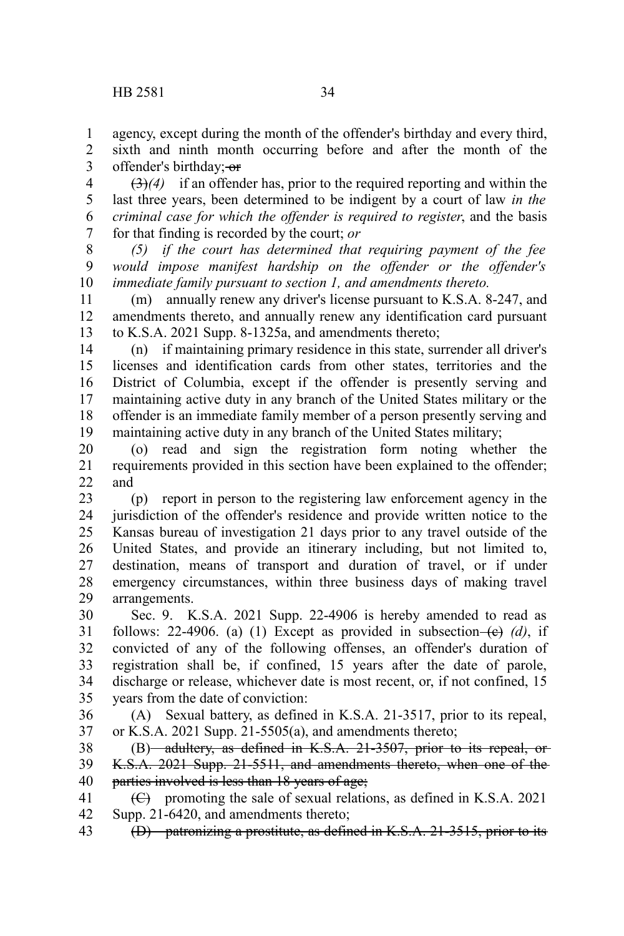1

sixth and ninth month occurring before and after the month of the offender's birthday; or 2 3

(3)*(4)* if an offender has, prior to the required reporting and within the last three years, been determined to be indigent by a court of law *in the criminal case for which the offender is required to register*, and the basis for that finding is recorded by the court; *or* 4 5 6 7

*(5) if the court has determined that requiring payment of the fee would impose manifest hardship on the offender or the offender's immediate family pursuant to section 1, and amendments thereto.* 8 9 10

(m) annually renew any driver's license pursuant to K.S.A. 8-247, and amendments thereto, and annually renew any identification card pursuant to K.S.A. 2021 Supp. 8-1325a, and amendments thereto; 11 12 13

(n) if maintaining primary residence in this state, surrender all driver's licenses and identification cards from other states, territories and the District of Columbia, except if the offender is presently serving and maintaining active duty in any branch of the United States military or the offender is an immediate family member of a person presently serving and maintaining active duty in any branch of the United States military; 14 15 16 17 18 19

(o) read and sign the registration form noting whether the requirements provided in this section have been explained to the offender; and 20 21 22

(p) report in person to the registering law enforcement agency in the jurisdiction of the offender's residence and provide written notice to the Kansas bureau of investigation 21 days prior to any travel outside of the United States, and provide an itinerary including, but not limited to, destination, means of transport and duration of travel, or if under emergency circumstances, within three business days of making travel arrangements. 23 24 25 26 27 28 29

Sec. 9. K.S.A. 2021 Supp. 22-4906 is hereby amended to read as follows: 22-4906. (a) (1) Except as provided in subsection- $\left(\frac{e}{c}\right)$  (d), if convicted of any of the following offenses, an offender's duration of registration shall be, if confined, 15 years after the date of parole, discharge or release, whichever date is most recent, or, if not confined, 15 years from the date of conviction: 30 31 32 33 34 35

(A) Sexual battery, as defined in K.S.A. 21-3517, prior to its repeal, or K.S.A. 2021 Supp. 21-5505(a), and amendments thereto; 36 37

(B) adultery, as defined in K.S.A. 21-3507, prior to its repeal, or-K.S.A. 2021 Supp. 21-5511, and amendments thereto, when one of the parties involved is less than 18 years of age; 38 39 40

(C) promoting the sale of sexual relations, as defined in K.S.A. 2021 Supp. 21-6420, and amendments thereto; 41 42

(D) patronizing a prostitute, as defined in K.S.A. 21-3515, prior to its 43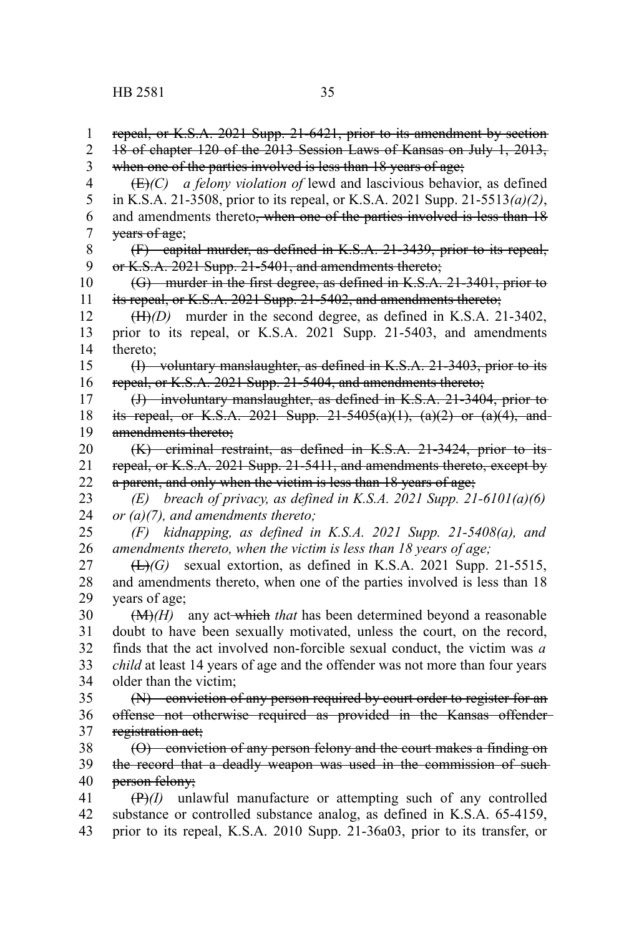repeal, or K.S.A. 2021 Supp. 21-6421, prior to its amendment by section 18 of chapter 120 of the 2013 Session Laws of Kansas on July 1, 2013, when one of the parties involved is less than 18 years of age; (E)*(C) a felony violation of* lewd and lascivious behavior, as defined in K.S.A. 21-3508, prior to its repeal, or K.S.A. 2021 Supp. 21-5513*(a)(2)*, and amendments thereto, when one of the parties involved is less than 18 years of age; (F) capital murder, as defined in K.S.A. 21-3439, prior to its repeal, or K.S.A. 2021 Supp. 21-5401, and amendments thereto; (G) murder in the first degree, as defined in K.S.A. 21-3401, prior to its repeal, or K.S.A. 2021 Supp. 21-5402, and amendments thereto; (H)*(D)* murder in the second degree, as defined in K.S.A. 21-3402, prior to its repeal, or K.S.A. 2021 Supp. 21-5403, and amendments thereto; (I) voluntary manslaughter, as defined in K.S.A. 21-3403, prior to its repeal, or K.S.A. 2021 Supp. 21-5404, and amendments thereto; (J) involuntary manslaughter, as defined in K.S.A. 21-3404, prior to its repeal, or K.S.A. 2021 Supp.  $21-5405(a)(1)$ ,  $(a)(2)$  or  $(a)(4)$ , and amendments thereto; (K) criminal restraint, as defined in K.S.A. 21-3424, prior to its repeal, or K.S.A. 2021 Supp. 21-5411, and amendments thereto, except by a parent, and only when the victim is less than 18 years of age; *(E) breach of privacy, as defined in K.S.A. 2021 Supp. 21-6101(a)(6) or (a)(7), and amendments thereto; (F) kidnapping, as defined in K.S.A. 2021 Supp. 21-5408(a), and amendments thereto, when the victim is less than 18 years of age;* (L)*(G)* sexual extortion, as defined in K.S.A. 2021 Supp. 21-5515, and amendments thereto, when one of the parties involved is less than 18 years of age; (M)*(H)* any act which *that* has been determined beyond a reasonable doubt to have been sexually motivated, unless the court, on the record, finds that the act involved non-forcible sexual conduct, the victim was *a child* at least 14 years of age and the offender was not more than four years older than the victim; (N) conviction of any person required by court order to register for an offense not otherwise required as provided in the Kansas offender registration act; (O) conviction of any person felony and the court makes a finding on the record that a deadly weapon was used in the commission of such person felony; (P)*(I)* unlawful manufacture or attempting such of any controlled substance or controlled substance analog, as defined in K.S.A. 65-4159, prior to its repeal, K.S.A. 2010 Supp. 21-36a03, prior to its transfer, or 1 2 3 4 5 6 7 8 9 10 11 12 13 14 15 16 17 18 19 20 21 22 23 24 25 26 27 28 29 30 31 32 33 34 35 36 37 38 39 40 41 42 43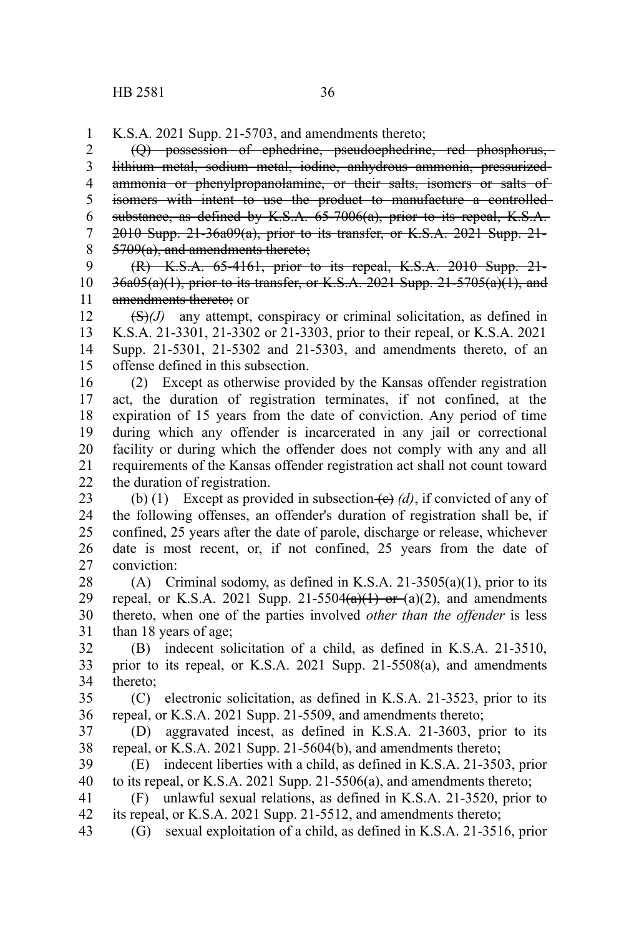K.S.A. 2021 Supp. 21-5703, and amendments thereto; 1

(Q) possession of ephedrine, pseudoephedrine, red phosphorus, lithium metal, sodium metal, iodine, anhydrous ammonia, pressurized ammonia or phenylpropanolamine, or their salts, isomers or salts of isomers with intent to use the product to manufacture a controlled substance, as defined by K.S.A. 65-7006(a), prior to its repeal, K.S.A. 2010 Supp. 21-36a09(a), prior to its transfer, or K.S.A. 2021 Supp. 21- 5709(a), and amendments thereto; 2 3 4 5 6 7 8

(R) K.S.A. 65-4161, prior to its repeal, K.S.A. 2010 Supp. 21-  $36a05(a)(1)$ , prior to its transfer, or K.S.A. 2021 Supp. 21-5705 $(a)(1)$ , and amendments thereto: or 9 10 11

(S)*(J)* any attempt, conspiracy or criminal solicitation, as defined in K.S.A. 21-3301, 21-3302 or 21-3303, prior to their repeal, or K.S.A. 2021 Supp. 21-5301, 21-5302 and 21-5303, and amendments thereto, of an offense defined in this subsection. 12 13 14 15

(2) Except as otherwise provided by the Kansas offender registration act, the duration of registration terminates, if not confined, at the expiration of 15 years from the date of conviction. Any period of time during which any offender is incarcerated in any jail or correctional facility or during which the offender does not comply with any and all requirements of the Kansas offender registration act shall not count toward the duration of registration. 16 17 18 19 20 21 22

(b) (1) Except as provided in subsection  $\left(\frac{e}{c}\right)$  (d), if convicted of any of the following offenses, an offender's duration of registration shall be, if confined, 25 years after the date of parole, discharge or release, whichever date is most recent, or, if not confined, 25 years from the date of conviction: 23 24 25 26 27

(A) Criminal sodomy, as defined in K.S.A. 21-3505(a)(1), prior to its repeal, or K.S.A. 2021 Supp. 21-5504 $(a)(1)$  or  $(a)(2)$ , and amendments thereto, when one of the parties involved *other than the offender* is less than 18 years of age; 28 29 30 31

(B) indecent solicitation of a child, as defined in K.S.A. 21-3510, prior to its repeal, or K.S.A. 2021 Supp. 21-5508(a), and amendments thereto; 32 33 34

(C) electronic solicitation, as defined in K.S.A. 21-3523, prior to its repeal, or K.S.A. 2021 Supp. 21-5509, and amendments thereto; 35 36

(D) aggravated incest, as defined in K.S.A. 21-3603, prior to its repeal, or K.S.A. 2021 Supp. 21-5604(b), and amendments thereto; 37 38

(E) indecent liberties with a child, as defined in K.S.A. 21-3503, prior to its repeal, or K.S.A. 2021 Supp. 21-5506(a), and amendments thereto; 39 40

(F) unlawful sexual relations, as defined in K.S.A. 21-3520, prior to its repeal, or K.S.A. 2021 Supp. 21-5512, and amendments thereto; 41 42

(G) sexual exploitation of a child, as defined in K.S.A. 21-3516, prior 43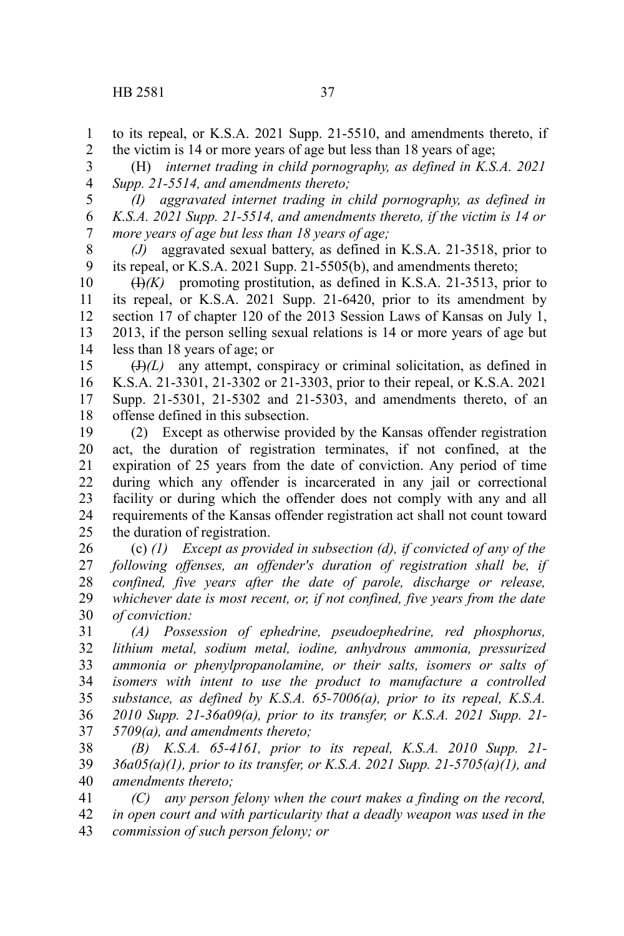to its repeal, or K.S.A. 2021 Supp. 21-5510, and amendments thereto, if the victim is 14 or more years of age but less than 18 years of age; 1 2

(H) *internet trading in child pornography, as defined in K.S.A. 2021 Supp. 21-5514, and amendments thereto;* 3 4

*(I) aggravated internet trading in child pornography, as defined in K.S.A. 2021 Supp. 21-5514, and amendments thereto, if the victim is 14 or more years of age but less than 18 years of age;* 5 6 7

*(J)* aggravated sexual battery, as defined in K.S.A. 21-3518, prior to its repeal, or K.S.A. 2021 Supp. 21-5505(b), and amendments thereto; 8 9

(I)*(K)* promoting prostitution, as defined in K.S.A. 21-3513, prior to its repeal, or K.S.A. 2021 Supp. 21-6420, prior to its amendment by section 17 of chapter 120 of the 2013 Session Laws of Kansas on July 1, 2013, if the person selling sexual relations is 14 or more years of age but less than 18 years of age; or 10 11 12 13 14

 $(H)(L)$  any attempt, conspiracy or criminal solicitation, as defined in K.S.A. 21-3301, 21-3302 or 21-3303, prior to their repeal, or K.S.A. 2021 Supp. 21-5301, 21-5302 and 21-5303, and amendments thereto, of an offense defined in this subsection. 15 16 17 18

(2) Except as otherwise provided by the Kansas offender registration act, the duration of registration terminates, if not confined, at the expiration of 25 years from the date of conviction. Any period of time during which any offender is incarcerated in any jail or correctional facility or during which the offender does not comply with any and all requirements of the Kansas offender registration act shall not count toward the duration of registration. 19 20 21 22 23 24 25

(c) *(1) Except as provided in subsection (d), if convicted of any of the following offenses, an offender's duration of registration shall be, if confined, five years after the date of parole, discharge or release, whichever date is most recent, or, if not confined, five years from the date of conviction:* 26 27 28 29 30

*(A) Possession of ephedrine, pseudoephedrine, red phosphorus, lithium metal, sodium metal, iodine, anhydrous ammonia, pressurized ammonia or phenylpropanolamine, or their salts, isomers or salts of isomers with intent to use the product to manufacture a controlled substance, as defined by K.S.A. 65-7006(a), prior to its repeal, K.S.A. 2010 Supp. 21-36a09(a), prior to its transfer, or K.S.A. 2021 Supp. 21- 5709(a), and amendments thereto;* 31 32 33 34 35 36 37

*(B) K.S.A. 65-4161, prior to its repeal, K.S.A. 2010 Supp. 21- 36a05(a)(1), prior to its transfer, or K.S.A. 2021 Supp. 21-5705(a)(1), and amendments thereto;* 38 39 40

*(C) any person felony when the court makes a finding on the record, in open court and with particularity that a deadly weapon was used in the commission of such person felony; or* 41 42 43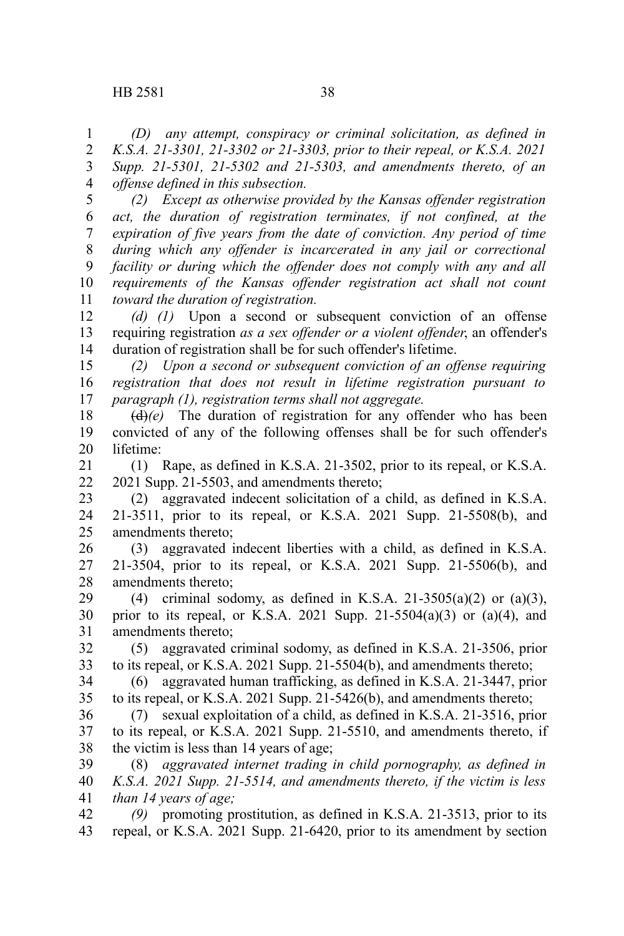*(D) any attempt, conspiracy or criminal solicitation, as defined in K.S.A. 21-3301, 21-3302 or 21-3303, prior to their repeal, or K.S.A. 2021 Supp. 21-5301, 21-5302 and 21-5303, and amendments thereto, of an offense defined in this subsection.* 1 2 3 4

*(2) Except as otherwise provided by the Kansas offender registration act, the duration of registration terminates, if not confined, at the expiration of five years from the date of conviction. Any period of time during which any offender is incarcerated in any jail or correctional facility or during which the offender does not comply with any and all requirements of the Kansas offender registration act shall not count toward the duration of registration.* 5 6 7 8 9 10 11

*(d) (1)* Upon a second or subsequent conviction of an offense requiring registration *as a sex offender or a violent offender*, an offender's duration of registration shall be for such offender's lifetime. 12 13 14

*(2) Upon a second or subsequent conviction of an offense requiring registration that does not result in lifetime registration pursuant to paragraph (1), registration terms shall not aggregate.* 15 16 17

(d)*(e)* The duration of registration for any offender who has been convicted of any of the following offenses shall be for such offender's lifetime: 18 19 20

(1) Rape, as defined in K.S.A. 21-3502, prior to its repeal, or K.S.A. 2021 Supp. 21-5503, and amendments thereto; 21 22

(2) aggravated indecent solicitation of a child, as defined in K.S.A. 21-3511, prior to its repeal, or K.S.A. 2021 Supp. 21-5508(b), and amendments thereto; 23 24 25

(3) aggravated indecent liberties with a child, as defined in K.S.A. 21-3504, prior to its repeal, or K.S.A. 2021 Supp. 21-5506(b), and amendments thereto; 26 27 28

(4) criminal sodomy, as defined in K.S.A. 21-3505(a)(2) or (a)(3), prior to its repeal, or K.S.A. 2021 Supp.  $21-5504(a)(3)$  or  $(a)(4)$ , and amendments thereto; 29 30 31

(5) aggravated criminal sodomy, as defined in K.S.A. 21-3506, prior to its repeal, or K.S.A. 2021 Supp. 21-5504(b), and amendments thereto; 32 33

(6) aggravated human trafficking, as defined in K.S.A. 21-3447, prior to its repeal, or K.S.A. 2021 Supp. 21-5426(b), and amendments thereto; 34 35

(7) sexual exploitation of a child, as defined in K.S.A. 21-3516, prior to its repeal, or K.S.A. 2021 Supp. 21-5510, and amendments thereto, if the victim is less than 14 years of age; 36 37 38

(8) *aggravated internet trading in child pornography, as defined in K.S.A. 2021 Supp. 21-5514, and amendments thereto, if the victim is less than 14 years of age;* 39 40 41

*(9)* promoting prostitution, as defined in K.S.A. 21-3513, prior to its repeal, or K.S.A. 2021 Supp. 21-6420, prior to its amendment by section 42 43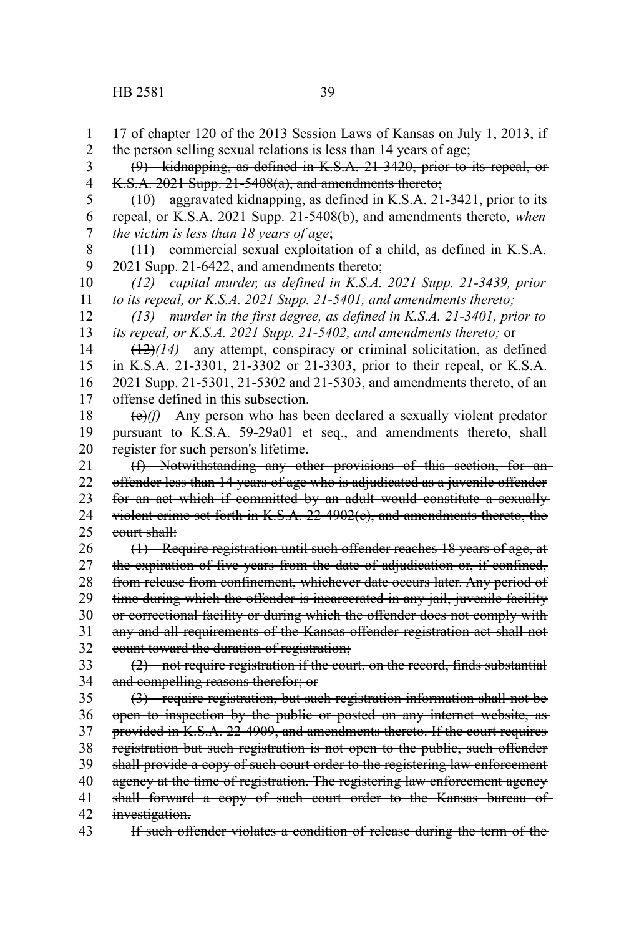17 of chapter 120 of the 2013 Session Laws of Kansas on July 1, 2013, if the person selling sexual relations is less than 14 years of age; (9) kidnapping, as defined in K.S.A. 21-3420, prior to its repeal, or K.S.A. 2021 Supp. 21-5408(a), and amendments thereto; (10) aggravated kidnapping, as defined in K.S.A. 21-3421, prior to its repeal, or K.S.A. 2021 Supp. 21-5408(b), and amendments thereto*, when the victim is less than 18 years of age*; (11) commercial sexual exploitation of a child, as defined in K.S.A. 2021 Supp. 21-6422, and amendments thereto; *(12) capital murder, as defined in K.S.A. 2021 Supp. 21-3439, prior to its repeal, or K.S.A. 2021 Supp. 21-5401, and amendments thereto; (13) murder in the first degree, as defined in K.S.A. 21-3401, prior to its repeal, or K.S.A. 2021 Supp. 21-5402, and amendments thereto;* or (12)*(14)* any attempt, conspiracy or criminal solicitation, as defined in K.S.A. 21-3301, 21-3302 or 21-3303, prior to their repeal, or K.S.A. 2021 Supp. 21-5301, 21-5302 and 21-5303, and amendments thereto, of an offense defined in this subsection. (e)*(f)* Any person who has been declared a sexually violent predator pursuant to K.S.A. 59-29a01 et seq., and amendments thereto, shall register for such person's lifetime. (f) Notwithstanding any other provisions of this section, for an offender less than 14 years of age who is adjudicated as a juvenile offender for an act which if committed by an adult would constitute a sexually violent crime set forth in K.S.A. 22-4902(c), and amendments thereto, the court shall: (1) Require registration until such offender reaches 18 years of age, at the expiration of five years from the date of adjudication or, if confined, from release from confinement, whichever date occurs later. Any period of time during which the offender is incarcerated in any jail, juvenile facility or correctional facility or during which the offender does not comply with any and all requirements of the Kansas offender registration act shall not count toward the duration of registration; (2) not require registration if the court, on the record, finds substantial and compelling reasons therefor; or (3) require registration, but such registration information shall not be open to inspection by the public or posted on any internet website, as provided in K.S.A. 22-4909, and amendments thereto. If the court requires registration but such registration is not open to the public, such offender shall provide a copy of such court order to the registering law enforcement agency at the time of registration. The registering law enforcement agency shall forward a copy of such court order to the Kansas bureau of investigation. 1 2 3 4 5 6 7 8 9 10 11 12 13 14 15 16 17 18 19 20 21 22 23 24 25 26 27 28 29 30 31 32 33 34 35 36 37 38 39 40 41 42

If such offender violates a condition of release during the term of the 43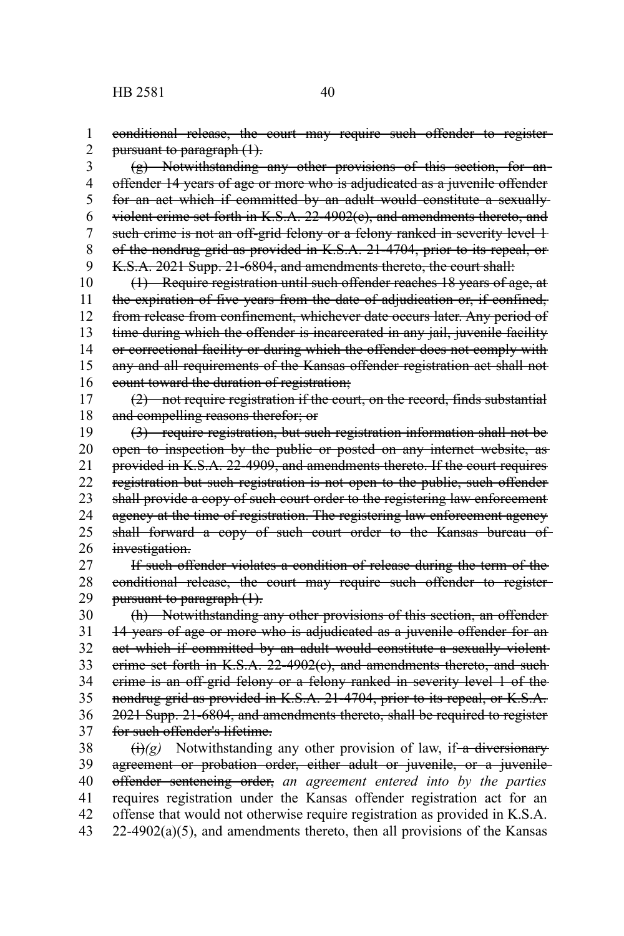conditional release, the court may require such offender to register pursuant to paragraph (1). 1 2

(g) Notwithstanding any other provisions of this section, for an offender 14 years of age or more who is adjudicated as a juvenile offender for an act which if committed by an adult would constitute a sexually violent crime set forth in K.S.A. 22-4902(c), and amendments thereto, and such crime is not an off-grid felony or a felony ranked in severity level 1 of the nondrug grid as provided in K.S.A. 21-4704, prior to its repeal, or K.S.A. 2021 Supp. 21-6804, and amendments thereto, the court shall: 3 4 5 6 7 8 9

(1) Require registration until such offender reaches 18 years of age, at the expiration of five years from the date of adjudication or, if confined, from release from confinement, whichever date occurs later. Any period of time during which the offender is incarcerated in any jail, juvenile facility or correctional facility or during which the offender does not comply with any and all requirements of the Kansas offender registration act shall not count toward the duration of registration; 10 11 12 13 14 15 16

(2) not require registration if the court, on the record, finds substantial and compelling reasons therefor; or 17 18

(3) require registration, but such registration information shall not be open to inspection by the public or posted on any internet website, as provided in K.S.A. 22-4909, and amendments thereto. If the court requires registration but such registration is not open to the public, such offender shall provide a copy of such court order to the registering law enforcement agency at the time of registration. The registering law enforcement agency shall forward a copy of such court order to the Kansas bureau of investigation. 19 20 21 22 23 24 25 26

If such offender violates a condition of release during the term of the conditional release, the court may require such offender to register pursuant to paragraph  $(1)$ . 27 28 29

(h) Notwithstanding any other provisions of this section, an offender 14 years of age or more who is adjudicated as a juvenile offender for an act which if committed by an adult would constitute a sexually violentcrime set forth in K.S.A. 22-4902(c), and amendments thereto, and such crime is an off-grid felony or a felony ranked in severity level 1 of the nondrug grid as provided in K.S.A. 21-4704, prior to its repeal, or K.S.A. 2021 Supp. 21-6804, and amendments thereto, shall be required to register for such offender's lifetime. 30 31 32 33 34 35 36 37

 $\overrightarrow{(t)}(g)$  Notwithstanding any other provision of law, if-a diversionary agreement or probation order, either adult or juvenile, or a juvenile offender sentencing order, *an agreement entered into by the parties* requires registration under the Kansas offender registration act for an offense that would not otherwise require registration as provided in K.S.A.  $22-4902(a)(5)$ , and amendments thereto, then all provisions of the Kansas 38 39 40 41 42 43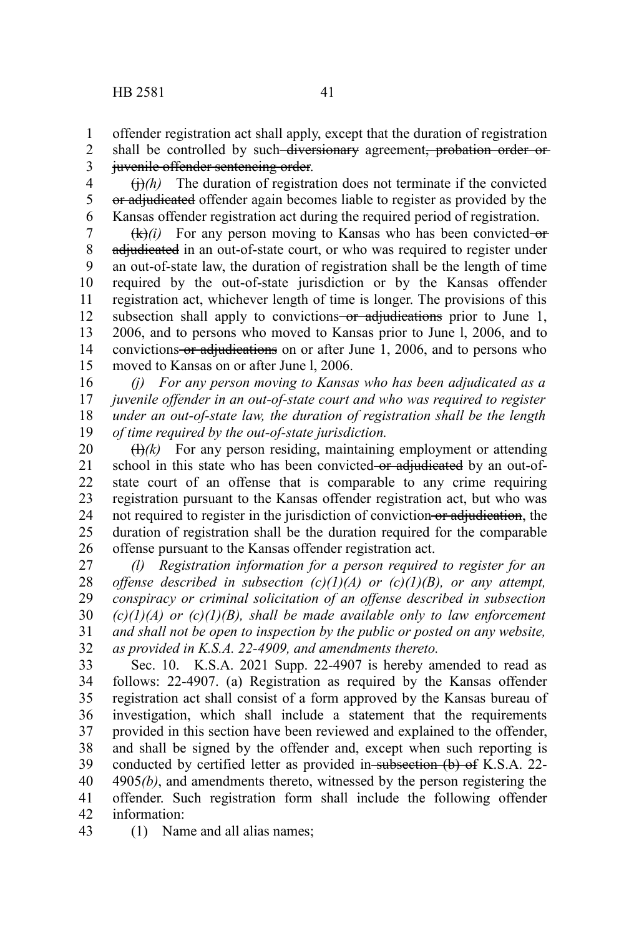1

shall be controlled by such diversionary agreement, probation order or juvenile offender sentencing order. 2 3

 $(h)/h$ ) The duration of registration does not terminate if the convicted or adjudicated offender again becomes liable to register as provided by the Kansas offender registration act during the required period of registration. 4 5 6

 $(k)(i)$  For any person moving to Kansas who has been convicted-oradjudicated in an out-of-state court, or who was required to register under an out-of-state law, the duration of registration shall be the length of time required by the out-of-state jurisdiction or by the Kansas offender registration act, whichever length of time is longer. The provisions of this subsection shall apply to convictions or adjudications prior to June 1, 2006, and to persons who moved to Kansas prior to June l, 2006, and to convictions or adjudications on or after June 1, 2006, and to persons who moved to Kansas on or after June l, 2006. 7 8 9 10 11 12 13 14 15

*(j) For any person moving to Kansas who has been adjudicated as a juvenile offender in an out-of-state court and who was required to register under an out-of-state law, the duration of registration shall be the length of time required by the out-of-state jurisdiction.* 16 17 18 19

 $(H)/k$ ) For any person residing, maintaining employment or attending school in this state who has been convicted or adjudicated by an out-ofstate court of an offense that is comparable to any crime requiring registration pursuant to the Kansas offender registration act, but who was not required to register in the jurisdiction of conviction or adjudication, the duration of registration shall be the duration required for the comparable offense pursuant to the Kansas offender registration act. 20 21 22 23 24 25 26

*(l) Registration information for a person required to register for an offense described in subsection (c)(1)(A) or (c)(1)(B), or any attempt, conspiracy or criminal solicitation of an offense described in subsection (c)(1)(A) or (c)(1)(B), shall be made available only to law enforcement and shall not be open to inspection by the public or posted on any website, as provided in K.S.A. 22-4909, and amendments thereto.* 27 28 29 30 31 32

Sec. 10. K.S.A. 2021 Supp. 22-4907 is hereby amended to read as follows: 22-4907. (a) Registration as required by the Kansas offender registration act shall consist of a form approved by the Kansas bureau of investigation, which shall include a statement that the requirements provided in this section have been reviewed and explained to the offender, and shall be signed by the offender and, except when such reporting is conducted by certified letter as provided in subsection (b) of K.S.A. 22-4905*(b)*, and amendments thereto, witnessed by the person registering the offender. Such registration form shall include the following offender information: 33 34 35 36 37 38 39 40 41 42

(1) Name and all alias names; 43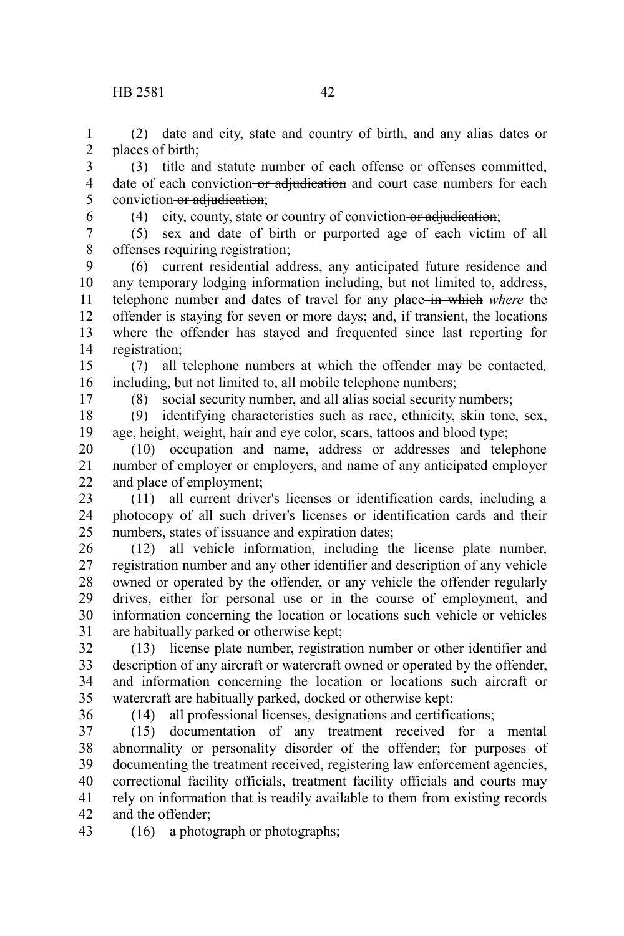(2) date and city, state and country of birth, and any alias dates or places of birth; 1 2

(3) title and statute number of each offense or offenses committed, date of each conviction or adjudication and court case numbers for each conviction or adjudication; 3 4 5

6

(4) city, county, state or country of conviction or adjudication;

(5) sex and date of birth or purported age of each victim of all offenses requiring registration; 7 8

(6) current residential address, any anticipated future residence and any temporary lodging information including, but not limited to, address, telephone number and dates of travel for any place in which *where* the offender is staying for seven or more days; and, if transient, the locations where the offender has stayed and frequented since last reporting for registration; 9 10 11 12 13 14

(7) all telephone numbers at which the offender may be contacted*,* including, but not limited to, all mobile telephone numbers; 15 16

17

(8) social security number, and all alias social security numbers;

(9) identifying characteristics such as race, ethnicity, skin tone, sex, age, height, weight, hair and eye color, scars, tattoos and blood type; 18 19

(10) occupation and name, address or addresses and telephone number of employer or employers, and name of any anticipated employer and place of employment; 20 21 22

(11) all current driver's licenses or identification cards, including a photocopy of all such driver's licenses or identification cards and their numbers, states of issuance and expiration dates; 23 24 25

(12) all vehicle information, including the license plate number, registration number and any other identifier and description of any vehicle owned or operated by the offender, or any vehicle the offender regularly drives, either for personal use or in the course of employment, and information concerning the location or locations such vehicle or vehicles are habitually parked or otherwise kept; 26 27 28 29 30 31

(13) license plate number, registration number or other identifier and description of any aircraft or watercraft owned or operated by the offender, and information concerning the location or locations such aircraft or watercraft are habitually parked, docked or otherwise kept; 32 33 34 35

36

(14) all professional licenses, designations and certifications;

(15) documentation of any treatment received for a mental abnormality or personality disorder of the offender; for purposes of documenting the treatment received, registering law enforcement agencies, correctional facility officials, treatment facility officials and courts may rely on information that is readily available to them from existing records and the offender; 37 38 39 40 41 42

(16) a photograph or photographs; 43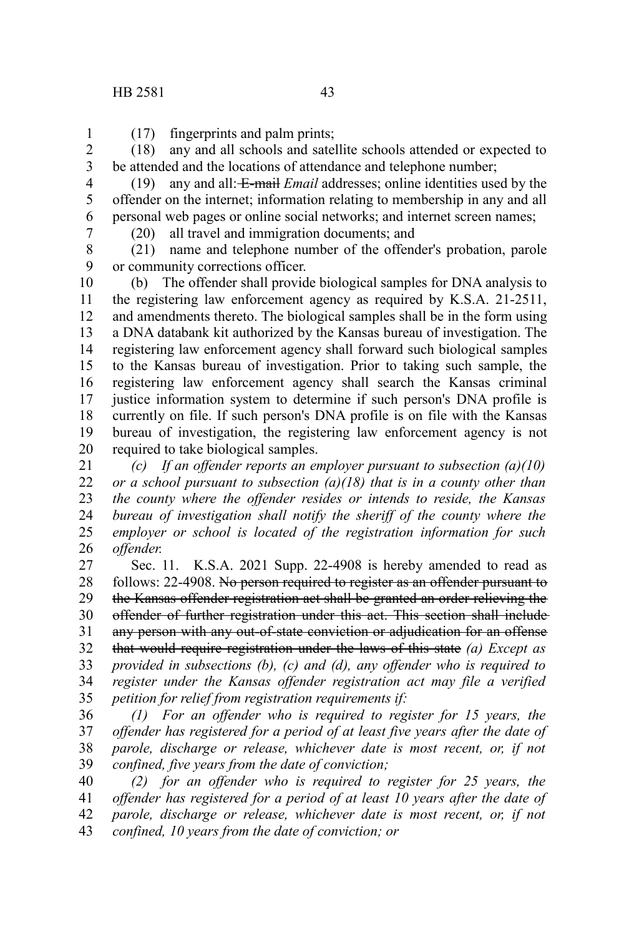(17) fingerprints and palm prints; 1

(18) any and all schools and satellite schools attended or expected to be attended and the locations of attendance and telephone number; 2 3

4 5

(19) any and all: E-mail *Email* addresses; online identities used by the offender on the internet; information relating to membership in any and all personal web pages or online social networks; and internet screen names;

6 7

(20) all travel and immigration documents; and

(21) name and telephone number of the offender's probation, parole or community corrections officer. 8 9

(b) The offender shall provide biological samples for DNA analysis to the registering law enforcement agency as required by K.S.A. 21-2511, and amendments thereto. The biological samples shall be in the form using a DNA databank kit authorized by the Kansas bureau of investigation. The registering law enforcement agency shall forward such biological samples to the Kansas bureau of investigation. Prior to taking such sample, the registering law enforcement agency shall search the Kansas criminal justice information system to determine if such person's DNA profile is currently on file. If such person's DNA profile is on file with the Kansas bureau of investigation, the registering law enforcement agency is not required to take biological samples. 10 11 12 13 14 15 16 17 18 19 20

*(c) If an offender reports an employer pursuant to subsection (a)(10) or a school pursuant to subsection (a)(18) that is in a county other than the county where the offender resides or intends to reside, the Kansas bureau of investigation shall notify the sheriff of the county where the employer or school is located of the registration information for such offender.* 21 22 23 24 25 26

Sec. 11. K.S.A. 2021 Supp. 22-4908 is hereby amended to read as follows: 22-4908. No person required to register as an offender pursuant to the Kansas offender registration act shall be granted an order relieving the offender of further registration under this act. This section shall include any person with any out-of-state conviction or adjudication for an offense that would require registration under the laws of this state *(a) Except as provided in subsections (b), (c) and (d), any offender who is required to register under the Kansas offender registration act may file a verified petition for relief from registration requirements if:* 27 28 29 30 31 32 33 34 35

*(1) For an offender who is required to register for 15 years, the offender has registered for a period of at least five years after the date of parole, discharge or release, whichever date is most recent, or, if not confined, five years from the date of conviction;* 36 37 38 39

*(2) for an offender who is required to register for 25 years, the offender has registered for a period of at least 10 years after the date of parole, discharge or release, whichever date is most recent, or, if not confined, 10 years from the date of conviction; or* 40 41 42 43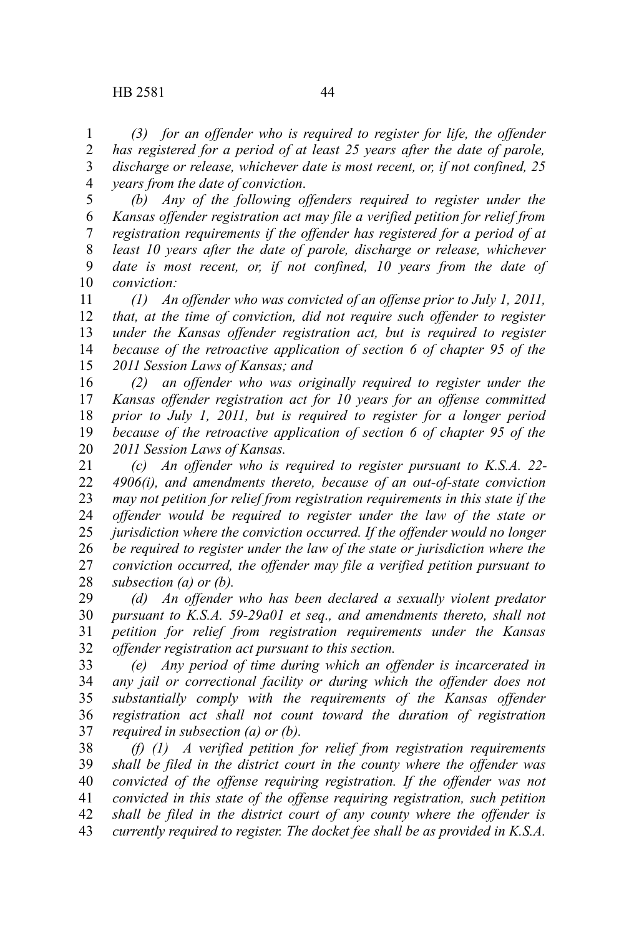*(3) for an offender who is required to register for life, the offender has registered for a period of at least 25 years after the date of parole, discharge or release, whichever date is most recent, or, if not confined, 25 years from the date of conviction*. 1 2 3 4

*(b) Any of the following offenders required to register under the Kansas offender registration act may file a verified petition for relief from registration requirements if the offender has registered for a period of at least 10 years after the date of parole, discharge or release, whichever date is most recent, or, if not confined, 10 years from the date of conviction:* 5 6 7 8 9 10

*(1) An offender who was convicted of an offense prior to July 1, 2011, that, at the time of conviction, did not require such offender to register under the Kansas offender registration act, but is required to register because of the retroactive application of section 6 of chapter 95 of the 2011 Session Laws of Kansas; and* 11 12 13 14 15

*(2) an offender who was originally required to register under the Kansas offender registration act for 10 years for an offense committed prior to July 1, 2011, but is required to register for a longer period because of the retroactive application of section 6 of chapter 95 of the 2011 Session Laws of Kansas.* 16 17 18 19 20

*(c) An offender who is required to register pursuant to K.S.A. 22- 4906(i), and amendments thereto, because of an out-of-state conviction may not petition for relief from registration requirements in this state if the offender would be required to register under the law of the state or jurisdiction where the conviction occurred. If the offender would no longer be required to register under the law of the state or jurisdiction where the conviction occurred, the offender may file a verified petition pursuant to subsection (a) or (b).* 21 22 23 24 25 26 27 28

*(d) An offender who has been declared a sexually violent predator pursuant to K.S.A. 59-29a01 et seq., and amendments thereto, shall not petition for relief from registration requirements under the Kansas offender registration act pursuant to this section.* 29 30 31 32

*(e) Any period of time during which an offender is incarcerated in any jail or correctional facility or during which the offender does not substantially comply with the requirements of the Kansas offender registration act shall not count toward the duration of registration required in subsection (a) or (b).* 33 34 35 36 37

*(f) (1) A verified petition for relief from registration requirements shall be filed in the district court in the county where the offender was convicted of the offense requiring registration. If the offender was not convicted in this state of the offense requiring registration, such petition shall be filed in the district court of any county where the offender is currently required to register. The docket fee shall be as provided in K.S.A.* 38 39 40 41 42 43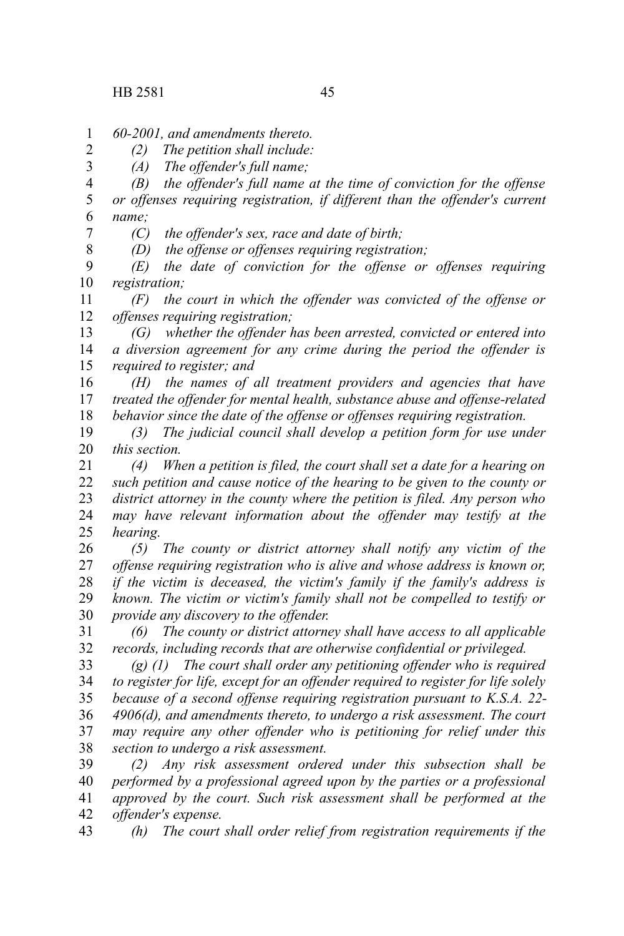2 3

8

*60-2001, and amendments thereto.* 1

*(2) The petition shall include:*

*(A) The offender's full name;*

*(B) the offender's full name at the time of conviction for the offense or offenses requiring registration, if different than the offender's current name;* 4 5 6 7

*(C) the offender's sex, race and date of birth;*

*(D) the offense or offenses requiring registration;*

*(E) the date of conviction for the offense or offenses requiring registration;* 9 10

*(F) the court in which the offender was convicted of the offense or offenses requiring registration;* 11 12

*(G) whether the offender has been arrested, convicted or entered into a diversion agreement for any crime during the period the offender is required to register; and* 13 14 15

*(H) the names of all treatment providers and agencies that have treated the offender for mental health, substance abuse and offense-related behavior since the date of the offense or offenses requiring registration.* 16 17 18

*(3) The judicial council shall develop a petition form for use under this section.* 19 20

*(4) When a petition is filed, the court shall set a date for a hearing on such petition and cause notice of the hearing to be given to the county or district attorney in the county where the petition is filed. Any person who may have relevant information about the offender may testify at the hearing.* 21 22 23 24 25

*(5) The county or district attorney shall notify any victim of the offense requiring registration who is alive and whose address is known or, if the victim is deceased, the victim's family if the family's address is known. The victim or victim's family shall not be compelled to testify or provide any discovery to the offender.* 26 27 28 29 30

*(6) The county or district attorney shall have access to all applicable records, including records that are otherwise confidential or privileged.* 31 32

*(g) (1) The court shall order any petitioning offender who is required to register for life, except for an offender required to register for life solely because of a second offense requiring registration pursuant to K.S.A. 22- 4906(d), and amendments thereto, to undergo a risk assessment. The court may require any other offender who is petitioning for relief under this section to undergo a risk assessment.* 33 34 35 36 37 38

*(2) Any risk assessment ordered under this subsection shall be performed by a professional agreed upon by the parties or a professional approved by the court. Such risk assessment shall be performed at the offender's expense.* 39 40 41 42

*(h) The court shall order relief from registration requirements if the* 43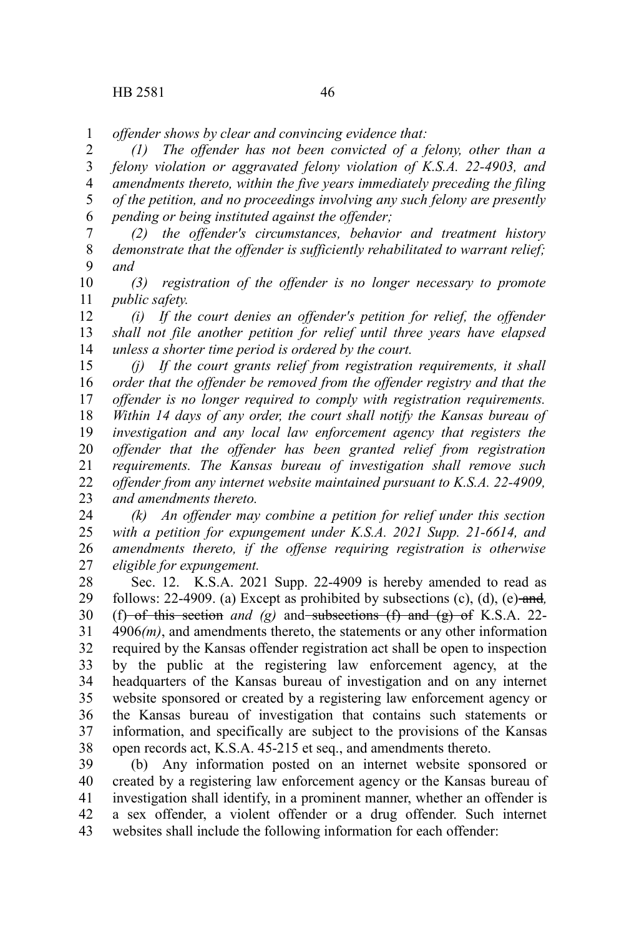*offender shows by clear and convincing evidence that:* 1

*(1) The offender has not been convicted of a felony, other than a felony violation or aggravated felony violation of K.S.A. 22-4903, and amendments thereto, within the five years immediately preceding the filing of the petition, and no proceedings involving any such felony are presently pending or being instituted against the offender;* 2 3 4 5 6

*(2) the offender's circumstances, behavior and treatment history demonstrate that the offender is sufficiently rehabilitated to warrant relief; and* 7 8 9

*(3) registration of the offender is no longer necessary to promote public safety.* 10 11

*(i) If the court denies an offender's petition for relief, the offender shall not file another petition for relief until three years have elapsed unless a shorter time period is ordered by the court.* 12 13 14

*(j) If the court grants relief from registration requirements, it shall order that the offender be removed from the offender registry and that the offender is no longer required to comply with registration requirements. Within 14 days of any order, the court shall notify the Kansas bureau of investigation and any local law enforcement agency that registers the offender that the offender has been granted relief from registration requirements. The Kansas bureau of investigation shall remove such offender from any internet website maintained pursuant to K.S.A. 22-4909, and amendments thereto.* 15 16 17 18 19 20 21 22 23

*(k) An offender may combine a petition for relief under this section with a petition for expungement under K.S.A. 2021 Supp. 21-6614, and amendments thereto, if the offense requiring registration is otherwise eligible for expungement.* 24 25 26 27

Sec. 12. K.S.A. 2021 Supp. 22-4909 is hereby amended to read as follows:  $22-4909$ . (a) Except as prohibited by subsections (c), (d), (e)-and, (f) of this section *and* (g) and subsections (f) and (g) of K.S.A. 22-4906*(m)*, and amendments thereto, the statements or any other information required by the Kansas offender registration act shall be open to inspection by the public at the registering law enforcement agency, at the headquarters of the Kansas bureau of investigation and on any internet website sponsored or created by a registering law enforcement agency or the Kansas bureau of investigation that contains such statements or information, and specifically are subject to the provisions of the Kansas open records act, K.S.A. 45-215 et seq., and amendments thereto. 28 29 30 31 32 33 34 35 36 37 38

(b) Any information posted on an internet website sponsored or created by a registering law enforcement agency or the Kansas bureau of investigation shall identify, in a prominent manner, whether an offender is a sex offender, a violent offender or a drug offender. Such internet websites shall include the following information for each offender: 39 40 41 42 43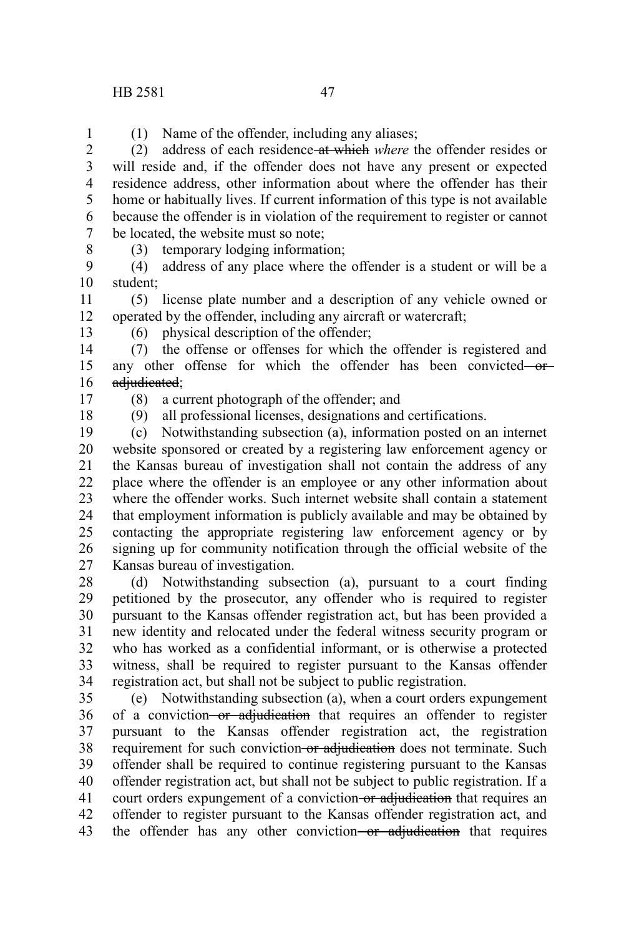(1) Name of the offender, including any aliases;

(2) address of each residence at which *where* the offender resides or will reside and, if the offender does not have any present or expected residence address, other information about where the offender has their home or habitually lives. If current information of this type is not available because the offender is in violation of the requirement to register or cannot be located, the website must so note; 2 3 4 5 6 7

8

1

(3) temporary lodging information;

(4) address of any place where the offender is a student or will be a student; 9 10

(5) license plate number and a description of any vehicle owned or operated by the offender, including any aircraft or watercraft; 11 12 13

(6) physical description of the offender;

(7) the offense or offenses for which the offender is registered and any other offense for which the offender has been convicted oradjudicated; 14 15 16

17

(8) a current photograph of the offender; and

18

(9) all professional licenses, designations and certifications.

(c) Notwithstanding subsection (a), information posted on an internet website sponsored or created by a registering law enforcement agency or the Kansas bureau of investigation shall not contain the address of any place where the offender is an employee or any other information about where the offender works. Such internet website shall contain a statement that employment information is publicly available and may be obtained by contacting the appropriate registering law enforcement agency or by signing up for community notification through the official website of the Kansas bureau of investigation. 19 20 21 22 23 24 25 26 27

(d) Notwithstanding subsection (a), pursuant to a court finding petitioned by the prosecutor, any offender who is required to register pursuant to the Kansas offender registration act, but has been provided a new identity and relocated under the federal witness security program or who has worked as a confidential informant, or is otherwise a protected witness, shall be required to register pursuant to the Kansas offender registration act, but shall not be subject to public registration. 28 29 30 31 32 33 34

(e) Notwithstanding subsection (a), when a court orders expungement of a conviction or adjudication that requires an offender to register pursuant to the Kansas offender registration act, the registration requirement for such conviction-or adjudication does not terminate. Such offender shall be required to continue registering pursuant to the Kansas offender registration act, but shall not be subject to public registration. If a court orders expungement of a conviction-or adjudication that requires an offender to register pursuant to the Kansas offender registration act, and the offender has any other conviction-or adjudication that requires 35 36 37 38 39 40 41 42 43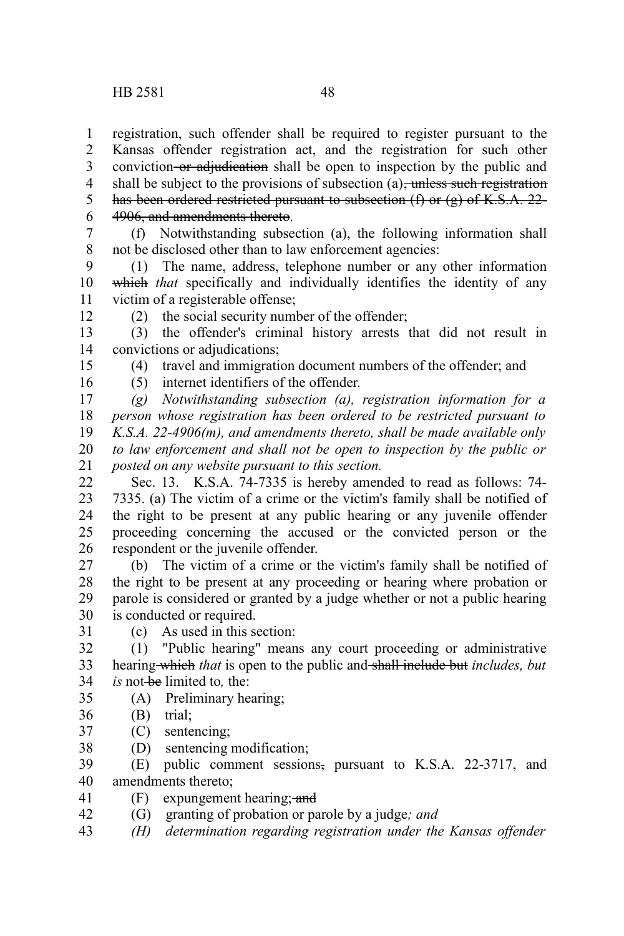registration, such offender shall be required to register pursuant to the Kansas offender registration act, and the registration for such other conviction or adjudication shall be open to inspection by the public and shall be subject to the provisions of subsection (a), unless such registration has been ordered restricted pursuant to subsection  $(f)$  or  $(g)$  of K.S.A. 22-4906, and amendments thereto. 1 2 3 4 5 6

(f) Notwithstanding subsection (a), the following information shall not be disclosed other than to law enforcement agencies: 7 8

(1) The name, address, telephone number or any other information which *that* specifically and individually identifies the identity of any victim of a registerable offense; 9 10 11

(2) the social security number of the offender;

(5) internet identifiers of the offender.

(3) the offender's criminal history arrests that did not result in convictions or adjudications; 13 14

(4) travel and immigration document numbers of the offender; and

16

12

15

*(g) Notwithstanding subsection (a), registration information for a person whose registration has been ordered to be restricted pursuant to K.S.A. 22-4906(m), and amendments thereto, shall be made available only to law enforcement and shall not be open to inspection by the public or posted on any website pursuant to this section.* 17 18 19 20 21

Sec. 13. K.S.A. 74-7335 is hereby amended to read as follows: 74- 7335. (a) The victim of a crime or the victim's family shall be notified of the right to be present at any public hearing or any juvenile offender proceeding concerning the accused or the convicted person or the respondent or the juvenile offender. 22 23 24 25 26

(b) The victim of a crime or the victim's family shall be notified of the right to be present at any proceeding or hearing where probation or parole is considered or granted by a judge whether or not a public hearing is conducted or required. 27 28 29 30

31

(c) As used in this section:

(1) "Public hearing" means any court proceeding or administrative hearing which *that* is open to the public and shall include but *includes, but is* not be limited to, the: 32 33 34

- (A) Preliminary hearing; 35
- (B) trial; 36
- (C) sentencing; 37
- (D) sentencing modification; 38

(E) public comment sessions, pursuant to K.S.A. 22-3717, and amendments thereto; 39 40

 $(F)$  expungement hearing; and 41

(G) granting of probation or parole by a judge*; and* 42

*(H) determination regarding registration under the Kansas offender* 43